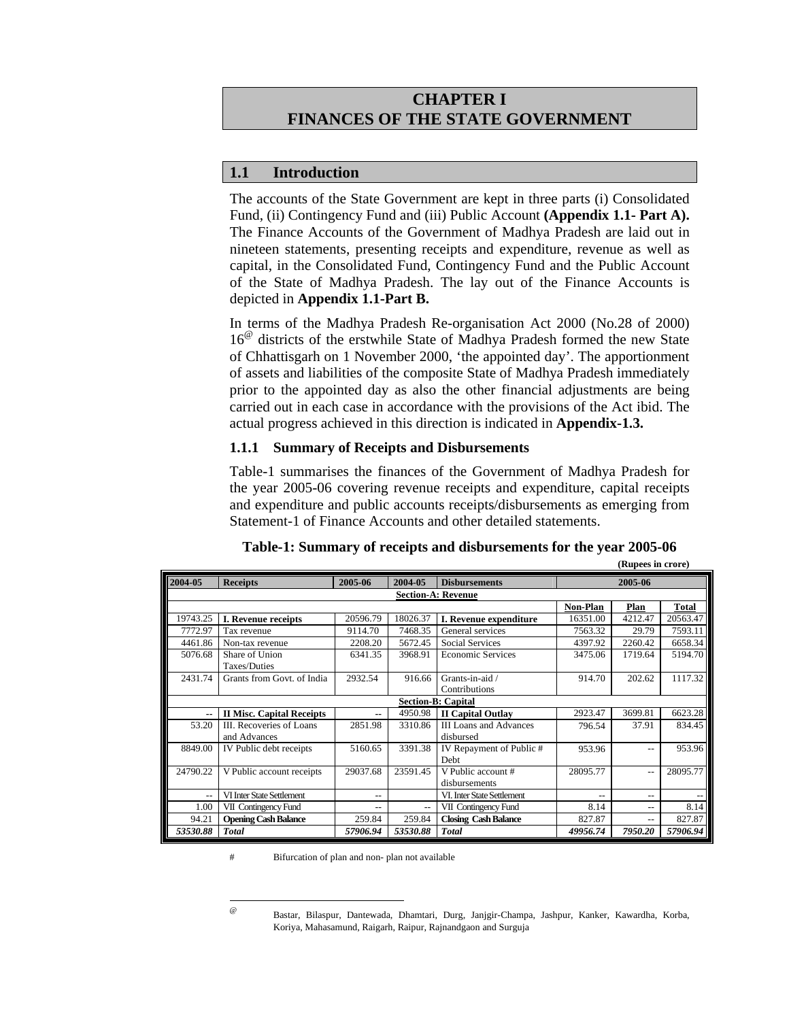# **CHAPTER I FINANCES OF THE STATE GOVERNMENT**

## **1.1 Introduction**

The accounts of the State Government are kept in three parts (i) Consolidated Fund, (ii) Contingency Fund and (iii) Public Account **(Appendix 1.1- Part A).** The Finance Accounts of the Government of Madhya Pradesh are laid out in nineteen statements, presenting receipts and expenditure, revenue as well as capital, in the Consolidated Fund, Contingency Fund and the Public Account of the State of Madhya Pradesh. The lay out of the Finance Accounts is depicted in **Appendix 1.1-Part B.**

In terms of the Madhya Pradesh Re-organisation Act 2000 (No.28 of 2000) 16<sup>@</sup> districts of the erstwhile State of Madhya Pradesh formed the new State of Chhattisgarh on 1 November 2000, 'the appointed day'. The apportionment of assets and liabilities of the composite State of Madhya Pradesh immediately prior to the appointed day as also the other financial adjustments are being carried out in each case in accordance with the provisions of the Act ibid. The actual progress achieved in this direction is indicated in **Appendix-1.3.** 

### **1.1.1 Summary of Receipts and Disbursements**

Table-1 summarises the finances of the Government of Madhya Pradesh for the year 2005-06 covering revenue receipts and expenditure, capital receipts and expenditure and public accounts receipts/disbursements as emerging from Statement-1 of Finance Accounts and other detailed statements.

| $($ nuptus in trore $)$   |                                  |          |          |                               |          |         |              |  |  |
|---------------------------|----------------------------------|----------|----------|-------------------------------|----------|---------|--------------|--|--|
| 2004-05                   | <b>Receipts</b>                  | 2005-06  | 2004-05  | <b>Disbursements</b>          | 2005-06  |         |              |  |  |
|                           |                                  |          |          | <b>Section-A: Revenue</b>     |          |         |              |  |  |
|                           |                                  |          |          |                               | Non-Plan | Plan    | <b>Total</b> |  |  |
| 19743.25                  | I. Revenue receipts              | 20596.79 | 18026.37 | I. Revenue expenditure        | 16351.00 | 4212.47 | 20563.47     |  |  |
| 7772.97                   | Tax revenue                      | 9114.70  | 7468.35  | General services              | 7563.32  | 29.79   | 7593.11      |  |  |
| 4461.86                   | Non-tax revenue                  | 2208.20  | 5672.45  | <b>Social Services</b>        | 4397.92  | 2260.42 | 6658.34      |  |  |
| 5076.68                   | Share of Union                   | 6341.35  | 3968.91  | <b>Economic Services</b>      | 3475.06  | 1719.64 | 5194.70      |  |  |
|                           | Taxes/Duties                     |          |          |                               |          |         |              |  |  |
| 2431.74                   | Grants from Govt. of India       | 2932.54  | 916.66   | Grants-in-aid /               | 914.70   | 202.62  | 1117.32      |  |  |
|                           |                                  |          |          | Contributions                 |          |         |              |  |  |
| <b>Section-B: Capital</b> |                                  |          |          |                               |          |         |              |  |  |
| ۰.                        | <b>II Misc. Capital Receipts</b> | $-$      | 4950.98  | <b>II Capital Outlay</b>      | 2923.47  | 3699.81 | 6623.28      |  |  |
| 53.20                     | III. Recoveries of Loans         | 2851.98  | 3310.86  | <b>III</b> Loans and Advances | 796.54   | 37.91   | 834.45       |  |  |
|                           | and Advances                     |          |          | disbursed                     |          |         |              |  |  |
| 8849.00                   | IV Public debt receipts          | 5160.65  | 3391.38  | IV Repayment of Public #      | 953.96   | $- -$   | 953.96       |  |  |
|                           |                                  |          |          | <b>Debt</b>                   |          |         |              |  |  |
| 24790.22                  | V Public account receipts        | 29037.68 | 23591.45 | V Public account #            | 28095.77 | $- -$   | 28095.77     |  |  |
|                           |                                  |          |          | disbursements                 |          |         |              |  |  |
| $-$                       | VI Inter State Settlement        | $-$      |          | VI. Inter State Settlement    | $-$      | $- -$   |              |  |  |
| 1.00                      | VII Contingency Fund             | $-$      | $-$      | VII Contingency Fund          | 8.14     | $- -$   | 8.14         |  |  |
| 94.21                     | <b>Opening Cash Balance</b>      | 259.84   | 259.84   | <b>Closing Cash Balance</b>   | 827.87   | $- -$   | 827.87       |  |  |
| 53530.88                  | <b>Total</b>                     | 57906.94 | 53530.88 | <b>Total</b>                  | 49956.74 | 7950.20 | 57906.94     |  |  |

**(Rupees in crore)** 

# Bifurcation of plan and non- plan not available

 $\omega$ 

<sup>@</sup> Bastar, Bilaspur, Dantewada, Dhamtari, Durg, Janjgir-Champa, Jashpur, Kanker, Kawardha, Korba, Koriya, Mahasamund, Raigarh, Raipur, Rajnandgaon and Surguja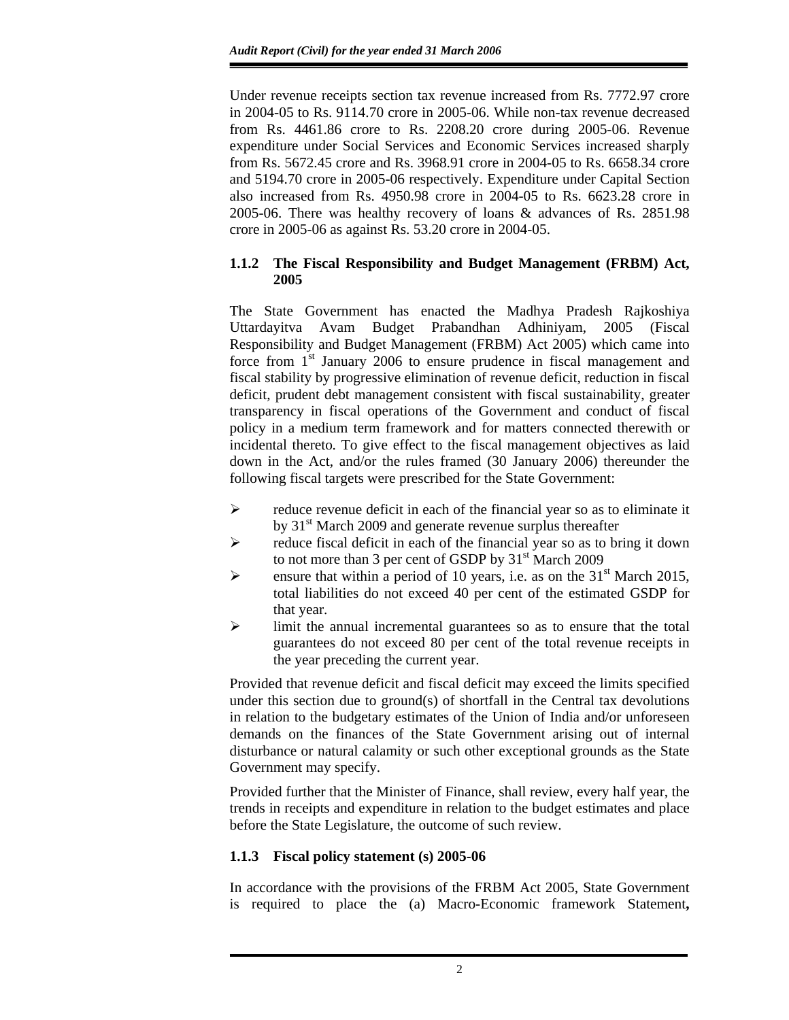Under revenue receipts section tax revenue increased from Rs. 7772.97 crore in 2004-05 to Rs. 9114.70 crore in 2005-06. While non-tax revenue decreased from Rs. 4461.86 crore to Rs. 2208.20 crore during 2005-06. Revenue expenditure under Social Services and Economic Services increased sharply from Rs. 5672.45 crore and Rs. 3968.91 crore in 2004-05 to Rs. 6658.34 crore and 5194.70 crore in 2005-06 respectively. Expenditure under Capital Section also increased from Rs. 4950.98 crore in 2004-05 to Rs. 6623.28 crore in 2005-06. There was healthy recovery of loans & advances of Rs. 2851.98 crore in 2005-06 as against Rs. 53.20 crore in 2004-05.

## **1.1.2 The Fiscal Responsibility and Budget Management (FRBM) Act, 2005**

The State Government has enacted the Madhya Pradesh Rajkoshiya Uttardayitva Avam Budget Prabandhan Adhiniyam, 2005 (Fiscal Responsibility and Budget Management (FRBM) Act 2005) which came into force from  $1<sup>st</sup>$  January 2006 to ensure prudence in fiscal management and fiscal stability by progressive elimination of revenue deficit, reduction in fiscal deficit, prudent debt management consistent with fiscal sustainability, greater transparency in fiscal operations of the Government and conduct of fiscal policy in a medium term framework and for matters connected therewith or incidental thereto*.* To give effect to the fiscal management objectives as laid down in the Act, and/or the rules framed (30 January 2006) thereunder the following fiscal targets were prescribed for the State Government:

- $\triangleright$  reduce revenue deficit in each of the financial year so as to eliminate it by  $31<sup>st</sup>$  March 2009 and generate revenue surplus thereafter
- $\triangleright$  reduce fiscal deficit in each of the financial year so as to bring it down to not more than 3 per cent of GSDP by  $31<sup>st</sup>$  March 2009
- $\triangleright$  ensure that within a period of 10 years, i.e. as on the 31<sup>st</sup> March 2015, total liabilities do not exceed 40 per cent of the estimated GSDP for that year.
- $\triangleright$  limit the annual incremental guarantees so as to ensure that the total guarantees do not exceed 80 per cent of the total revenue receipts in the year preceding the current year.

Provided that revenue deficit and fiscal deficit may exceed the limits specified under this section due to ground(s) of shortfall in the Central tax devolutions in relation to the budgetary estimates of the Union of India and/or unforeseen demands on the finances of the State Government arising out of internal disturbance or natural calamity or such other exceptional grounds as the State Government may specify.

Provided further that the Minister of Finance, shall review, every half year, the trends in receipts and expenditure in relation to the budget estimates and place before the State Legislature, the outcome of such review.

## **1.1.3 Fiscal policy statement (s) 2005-06**

In accordance with the provisions of the FRBM Act 2005, State Government is required to place the (a) Macro-Economic framework Statement**,**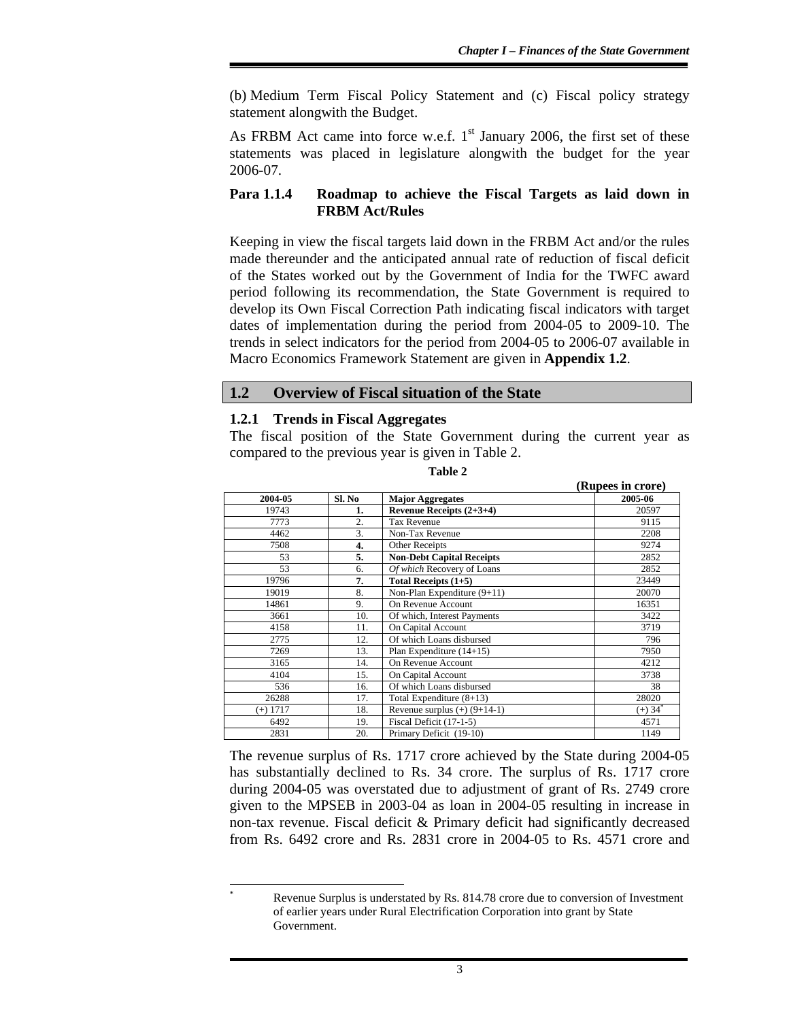(b) Medium Term Fiscal Policy Statement and (c) Fiscal policy strategy statement alongwith the Budget.

As FRBM Act came into force w.e.f.  $1<sup>st</sup>$  January 2006, the first set of these statements was placed in legislature alongwith the budget for the year 2006-07.

### **Para 1.1.4 Roadmap to achieve the Fiscal Targets as laid down in FRBM Act/Rules**

Keeping in view the fiscal targets laid down in the FRBM Act and/or the rules made thereunder and the anticipated annual rate of reduction of fiscal deficit of the States worked out by the Government of India for the TWFC award period following its recommendation, the State Government is required to develop its Own Fiscal Correction Path indicating fiscal indicators with target dates of implementation during the period from 2004-05 to 2009-10. The trends in select indicators for the period from 2004-05 to 2006-07 available in Macro Economics Framework Statement are given in **Appendix 1.2**.

## **1.2 Overview of Fiscal situation of the State**

### **1.2.1 Trends in Fiscal Aggregates**

 $\overline{a}$ \*

The fiscal position of the State Government during the current year as compared to the previous year is given in Table 2.

|            |        |                                  | (Rupees in crore)   |
|------------|--------|----------------------------------|---------------------|
| 2004-05    | Sl. No | <b>Major Aggregates</b>          | 2005-06             |
| 19743      | 1.     | Revenue Receipts (2+3+4)         | 20597               |
| 7773       | 2.     | <b>Tax Revenue</b>               | 9115                |
| 4462       | 3.     | Non-Tax Revenue                  | 2208                |
| 7508       | 4.     | Other Receipts                   | 9274                |
| 53         | 5.     | <b>Non-Debt Capital Receipts</b> | 2852                |
| 53         | 6.     | Of which Recovery of Loans       | 2852                |
| 19796      | 7.     | Total Receipts $(1+5)$           | 23449               |
| 19019      | 8.     | Non-Plan Expenditure (9+11)      | 20070               |
| 14861      | 9.     | On Revenue Account               | 16351               |
| 3661       | 10.    | Of which, Interest Payments      | 3422                |
| 4158       | 11.    | On Capital Account               | 3719                |
| 2775       | 12.    | Of which Loans disbursed         | 796                 |
| 7269       | 13.    | Plan Expenditure $(14+15)$       | 7950                |
| 3165       | 14.    | On Revenue Account               | 4212                |
| 4104       | 15.    | On Capital Account               | 3738                |
| 536        | 16.    | Of which Loans disbursed         | 38                  |
| 26288      | 17.    | Total Expenditure $(8+13)$       | 28020               |
| $(+)$ 1717 | 18.    | Revenue surplus $(+)$ (9+14-1)   | $(+)$ 34 $^{\circ}$ |
| 6492       | 19.    | Fiscal Deficit (17-1-5)          | 4571                |
| 2831       | 20.    | Primary Deficit (19-10)          | 1149                |

**Table 2** 

The revenue surplus of Rs. 1717 crore achieved by the State during 2004-05 has substantially declined to Rs. 34 crore. The surplus of Rs. 1717 crore during 2004-05 was overstated due to adjustment of grant of Rs. 2749 crore given to the MPSEB in 2003-04 as loan in 2004-05 resulting in increase in non-tax revenue. Fiscal deficit & Primary deficit had significantly decreased from Rs. 6492 crore and Rs. 2831 crore in 2004-05 to Rs. 4571 crore and

Revenue Surplus is understated by Rs. 814.78 crore due to conversion of Investment of earlier years under Rural Electrification Corporation into grant by State Government.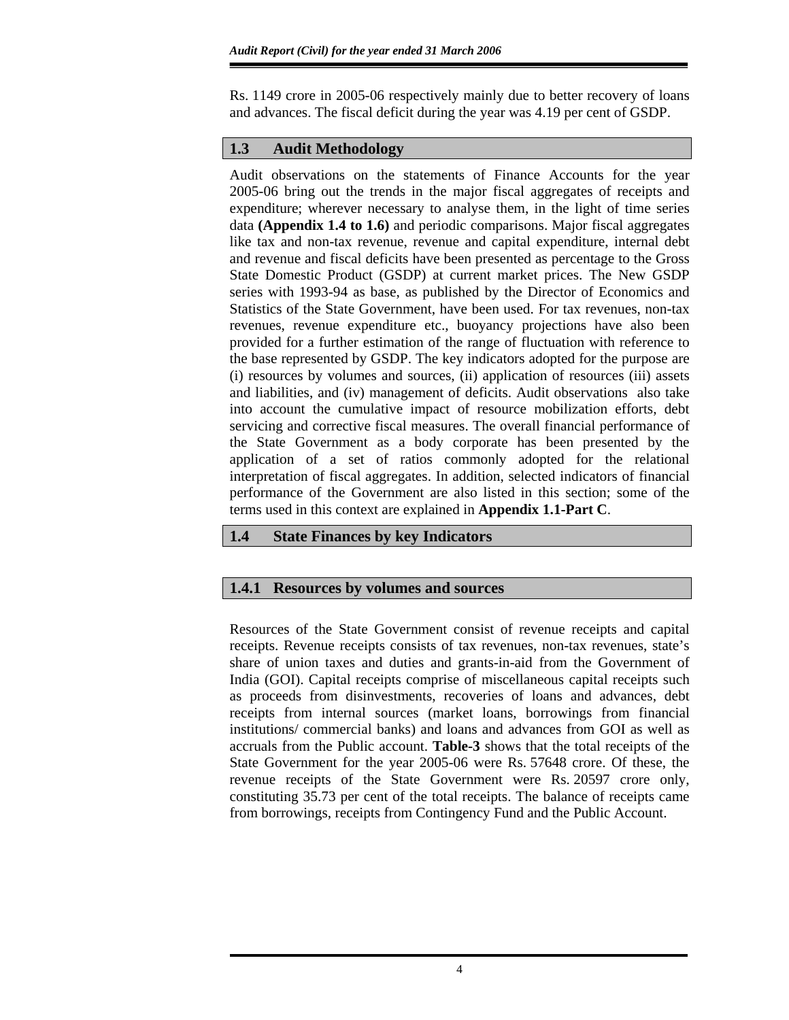Rs. 1149 crore in 2005-06 respectively mainly due to better recovery of loans and advances. The fiscal deficit during the year was 4.19 per cent of GSDP.

## **1.3 Audit Methodology**

Audit observations on the statements of Finance Accounts for the year 2005-06 bring out the trends in the major fiscal aggregates of receipts and expenditure; wherever necessary to analyse them, in the light of time series data **(Appendix 1.4 to 1.6)** and periodic comparisons. Major fiscal aggregates like tax and non-tax revenue, revenue and capital expenditure, internal debt and revenue and fiscal deficits have been presented as percentage to the Gross State Domestic Product (GSDP) at current market prices. The New GSDP series with 1993-94 as base, as published by the Director of Economics and Statistics of the State Government, have been used. For tax revenues, non-tax revenues, revenue expenditure etc., buoyancy projections have also been provided for a further estimation of the range of fluctuation with reference to the base represented by GSDP. The key indicators adopted for the purpose are (i) resources by volumes and sources, (ii) application of resources (iii) assets and liabilities, and (iv) management of deficits. Audit observations also take into account the cumulative impact of resource mobilization efforts, debt servicing and corrective fiscal measures. The overall financial performance of the State Government as a body corporate has been presented by the application of a set of ratios commonly adopted for the relational interpretation of fiscal aggregates. In addition, selected indicators of financial performance of the Government are also listed in this section; some of the terms used in this context are explained in **Appendix 1.1-Part C**.

## **1.4 State Finances by key Indicators**

# **1.4.1 Resources by volumes and sources**

Resources of the State Government consist of revenue receipts and capital receipts. Revenue receipts consists of tax revenues, non-tax revenues, state's share of union taxes and duties and grants-in-aid from the Government of India (GOI). Capital receipts comprise of miscellaneous capital receipts such as proceeds from disinvestments, recoveries of loans and advances, debt receipts from internal sources (market loans, borrowings from financial institutions/ commercial banks) and loans and advances from GOI as well as accruals from the Public account. **Table-3** shows that the total receipts of the State Government for the year 2005-06 were Rs. 57648 crore. Of these, the revenue receipts of the State Government were Rs. 20597 crore only, constituting 35.73 per cent of the total receipts. The balance of receipts came from borrowings, receipts from Contingency Fund and the Public Account.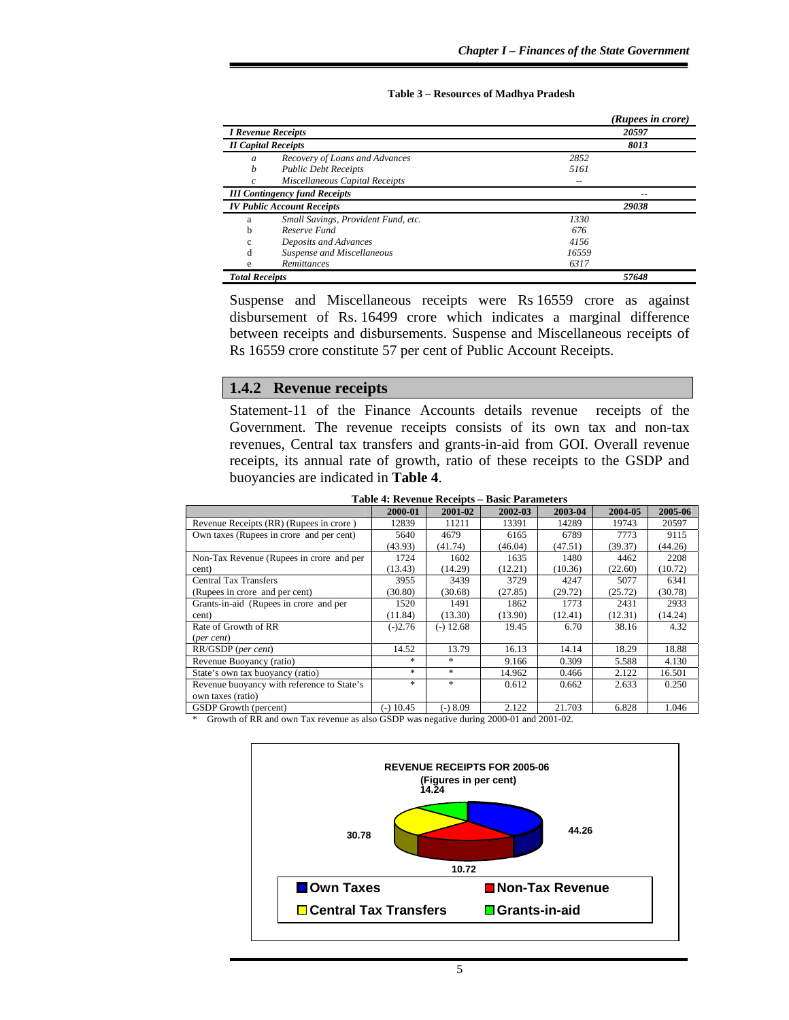#### **Table 3 – Resources of Madhya Pradesh**

|                       |                                      |       | (Rupees in crore) |
|-----------------------|--------------------------------------|-------|-------------------|
|                       | <b>I Revenue Receipts</b>            |       | 20597             |
|                       | <b>II Capital Receipts</b>           |       | 8013              |
| a                     | Recovery of Loans and Advances       | 2852  |                   |
| h                     | <b>Public Debt Receipts</b>          | 5161  |                   |
|                       | Miscellaneous Capital Receipts       |       |                   |
|                       | <b>III</b> Contingency fund Receipts |       | --                |
|                       | <b>IV Public Account Receipts</b>    |       | 29038             |
| a                     | Small Savings, Provident Fund, etc.  | 1330  |                   |
| b                     | Reserve Fund                         | 676   |                   |
| c                     | Deposits and Advances                | 4156  |                   |
| d                     | Suspense and Miscellaneous           | 16559 |                   |
| e                     | Remittances                          | 6317  |                   |
| <b>Total Receipts</b> |                                      |       | 57648             |

Suspense and Miscellaneous receipts were Rs 16559 crore as against disbursement of Rs. 16499 crore which indicates a marginal difference between receipts and disbursements. Suspense and Miscellaneous receipts of Rs 16559 crore constitute 57 per cent of Public Account Receipts.

#### **1.4.2 Revenue receipts**

Statement-11 of the Finance Accounts details revenue receipts of the Government. The revenue receipts consists of its own tax and non-tax revenues, Central tax transfers and grants-in-aid from GOI. Overall revenue receipts, its annual rate of growth, ratio of these receipts to the GSDP and buoyancies are indicated in **Table 4**.

|                                            | 2000-01     | 2001-02     | 2002-03 | 2003-04 | 2004-05 | 2005-06 |
|--------------------------------------------|-------------|-------------|---------|---------|---------|---------|
| Revenue Receipts (RR) (Rupees in crore)    | 12839       | 11211       | 13391   | 14289   | 19743   | 20597   |
| Own taxes (Rupees in crore and per cent)   | 5640        | 4679        | 6165    | 6789    | 7773    | 9115    |
|                                            | (43.93)     | (41.74)     | (46.04) | (47.51) | (39.37) | (44.26) |
| Non-Tax Revenue (Rupees in crore and per   | 1724        | 1602        | 1635    | 1480    | 4462    | 2208    |
| cent)                                      | (13.43)     | (14.29)     | (12.21) | (10.36) | (22.60) | (10.72) |
| <b>Central Tax Transfers</b>               | 3955        | 3439        | 3729    | 4247    | 5077    | 6341    |
| (Rupees in crore and per cent)             | (30.80)     | (30.68)     | (27.85) | (29.72) | (25.72) | (30.78) |
| Grants-in-aid (Rupees in crore and per     | 1520        | 1491        | 1862    | 1773    | 2431    | 2933    |
| cent)                                      | (11.84)     | (13.30)     | (13.90) | (12.41) | (12.31) | (14.24) |
| Rate of Growth of RR                       | $(-)2.76$   | $(-)$ 12.68 | 19.45   | 6.70    | 38.16   | 4.32    |
| (per cent)                                 |             |             |         |         |         |         |
| RR/GSDP (per cent)                         | 14.52       | 13.79       | 16.13   | 14.14   | 18.29   | 18.88   |
| Revenue Buoyancy (ratio)                   | *           | $*$         | 9.166   | 0.309   | 5.588   | 4.130   |
| State's own tax buoyancy (ratio)           | *           | $\ast$      | 14.962  | 0.466   | 2.122   | 16.501  |
| Revenue buoyancy with reference to State's | *           | *           | 0.612   | 0.662   | 2.633   | 0.250   |
| own taxes (ratio)                          |             |             |         |         |         |         |
| <b>GSDP</b> Growth (percent)               | $(-)$ 10.45 | $(-) 8.09$  | 2.122   | 21.703  | 6.828   | 1.046   |

**Table 4: Revenue Receipts – Basic Parameters** 

\* Growth of RR and own Tax revenue as also GSDP was negative during 2000-01 and 2001-02.

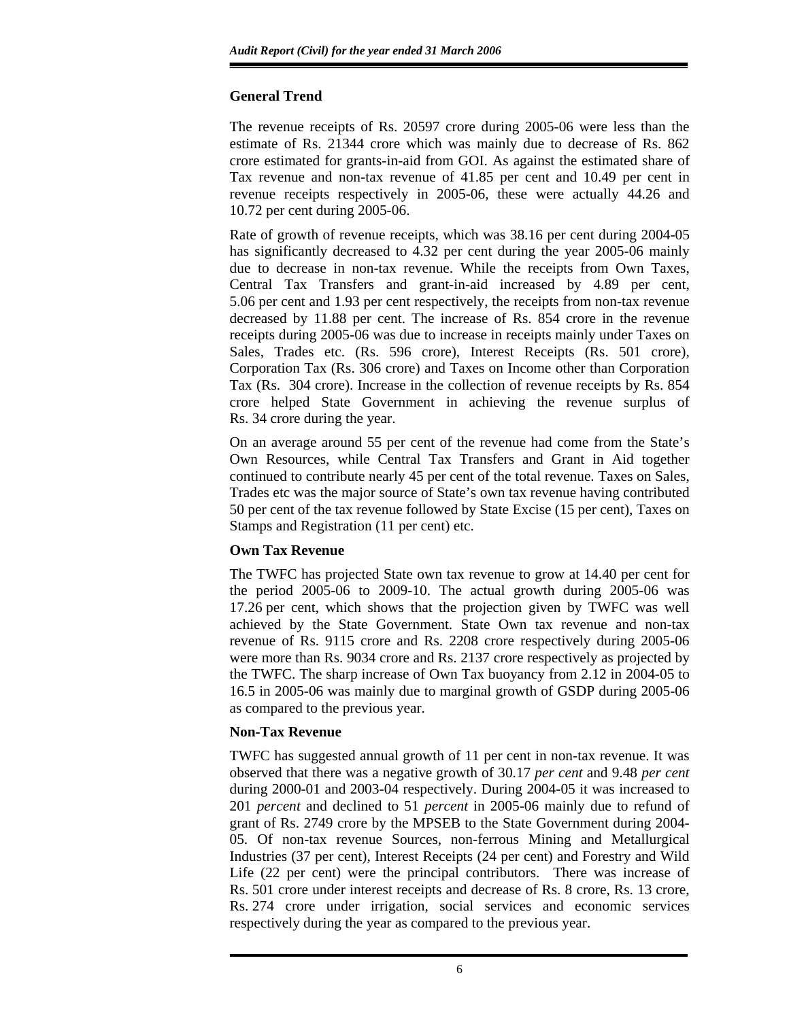## **General Trend**

The revenue receipts of Rs. 20597 crore during 2005-06 were less than the estimate of Rs. 21344 crore which was mainly due to decrease of Rs. 862 crore estimated for grants-in-aid from GOI. As against the estimated share of Tax revenue and non-tax revenue of 41.85 per cent and 10.49 per cent in revenue receipts respectively in 2005-06, these were actually 44.26 and 10.72 per cent during 2005-06.

Rate of growth of revenue receipts, which was 38.16 per cent during 2004-05 has significantly decreased to 4.32 per cent during the year 2005-06 mainly due to decrease in non-tax revenue. While the receipts from Own Taxes, Central Tax Transfers and grant-in-aid increased by 4.89 per cent, 5.06 per cent and 1.93 per cent respectively, the receipts from non-tax revenue decreased by 11.88 per cent. The increase of Rs. 854 crore in the revenue receipts during 2005-06 was due to increase in receipts mainly under Taxes on Sales, Trades etc. (Rs. 596 crore), Interest Receipts (Rs. 501 crore), Corporation Tax (Rs. 306 crore) and Taxes on Income other than Corporation Tax (Rs. 304 crore). Increase in the collection of revenue receipts by Rs. 854 crore helped State Government in achieving the revenue surplus of Rs. 34 crore during the year.

On an average around 55 per cent of the revenue had come from the State's Own Resources, while Central Tax Transfers and Grant in Aid together continued to contribute nearly 45 per cent of the total revenue. Taxes on Sales, Trades etc was the major source of State's own tax revenue having contributed 50 per cent of the tax revenue followed by State Excise (15 per cent), Taxes on Stamps and Registration (11 per cent) etc.

## **Own Tax Revenue**

The TWFC has projected State own tax revenue to grow at 14.40 per cent for the period 2005-06 to 2009-10. The actual growth during 2005-06 was 17.26 per cent, which shows that the projection given by TWFC was well achieved by the State Government. State Own tax revenue and non-tax revenue of Rs. 9115 crore and Rs. 2208 crore respectively during 2005-06 were more than Rs. 9034 crore and Rs. 2137 crore respectively as projected by the TWFC. The sharp increase of Own Tax buoyancy from 2.12 in 2004-05 to 16.5 in 2005-06 was mainly due to marginal growth of GSDP during 2005-06 as compared to the previous year.

## **Non-Tax Revenue**

TWFC has suggested annual growth of 11 per cent in non-tax revenue. It was observed that there was a negative growth of 30.17 *per cent* and 9.48 *per cent*  during 2000-01 and 2003-04 respectively. During 2004-05 it was increased to 201 *percent* and declined to 51 *percent* in 2005-06 mainly due to refund of grant of Rs. 2749 crore by the MPSEB to the State Government during 2004- 05. Of non-tax revenue Sources, non-ferrous Mining and Metallurgical Industries (37 per cent), Interest Receipts (24 per cent) and Forestry and Wild Life (22 per cent) were the principal contributors. There was increase of Rs. 501 crore under interest receipts and decrease of Rs. 8 crore, Rs. 13 crore, Rs. 274 crore under irrigation, social services and economic services respectively during the year as compared to the previous year.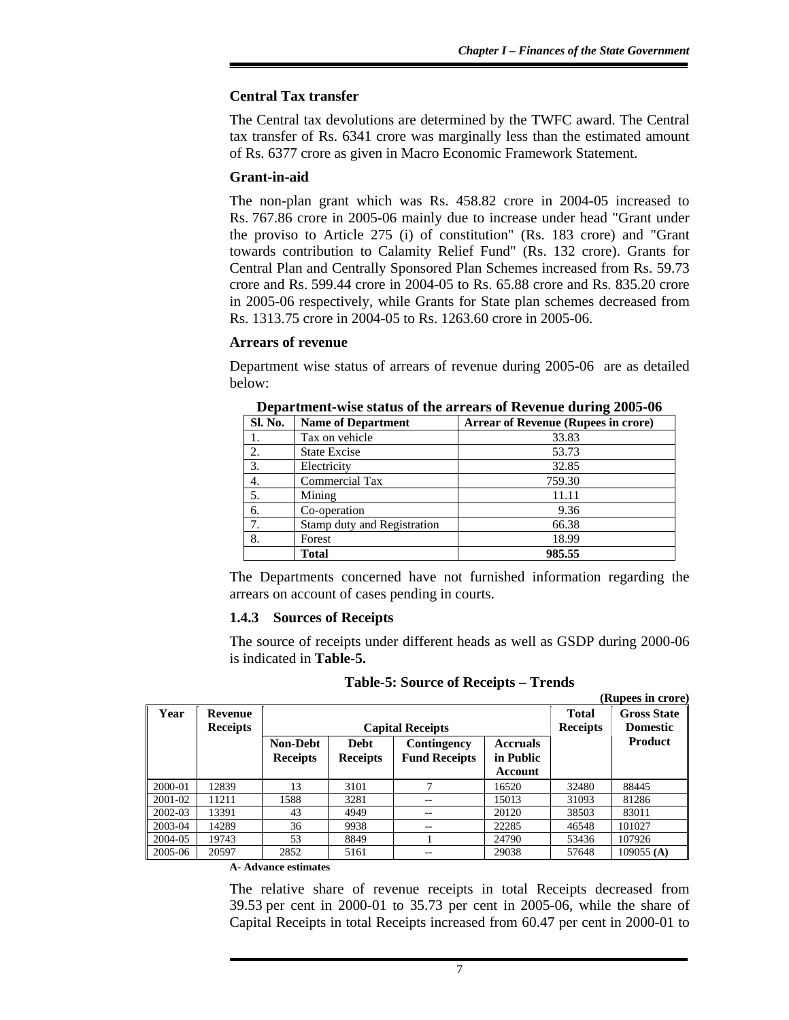## **Central Tax transfer**

The Central tax devolutions are determined by the TWFC award. The Central tax transfer of Rs. 6341 crore was marginally less than the estimated amount of Rs. 6377 crore as given in Macro Economic Framework Statement.

### **Grant-in-aid**

The non-plan grant which was Rs. 458.82 crore in 2004-05 increased to Rs. 767.86 crore in 2005-06 mainly due to increase under head "Grant under the proviso to Article 275 (i) of constitution" (Rs. 183 crore) and "Grant towards contribution to Calamity Relief Fund" (Rs. 132 crore). Grants for Central Plan and Centrally Sponsored Plan Schemes increased from Rs. 59.73 crore and Rs. 599.44 crore in 2004-05 to Rs. 65.88 crore and Rs. 835.20 crore in 2005-06 respectively, while Grants for State plan schemes decreased from Rs. 1313.75 crore in 2004-05 to Rs. 1263.60 crore in 2005-06.

### **Arrears of revenue**

Department wise status of arrears of revenue during 2005-06 are as detailed below:

| <b>Sl. No.</b> | <b>Name of Department</b>   | <b>Arrear of Revenue (Rupees in crore)</b> |
|----------------|-----------------------------|--------------------------------------------|
|                | Tax on vehicle              | 33.83                                      |
| 2.             | <b>State Excise</b>         | 53.73                                      |
| 3.             | Electricity                 | 32.85                                      |
| 4.             | <b>Commercial Tax</b>       | 759.30                                     |
| 5.             | Mining                      | 11.11                                      |
| 6.             | Co-operation                | 9.36                                       |
| 7.             | Stamp duty and Registration | 66.38                                      |
| 8.             | Forest                      | 18.99                                      |
|                | <b>Total</b>                | 985.55                                     |

**Department-wise status of the arrears of Revenue during 2005-06** 

The Departments concerned have not furnished information regarding the arrears on account of cases pending in courts.

## **1.4.3 Sources of Receipts**

The source of receipts under different heads as well as GSDP during 2000-06 is indicated in **Table-5.**

| Table-5: Source of Receipts – Trends |  |  |  |
|--------------------------------------|--|--|--|
|--------------------------------------|--|--|--|

 **(Rupees in crore)** 

| Year    | Revenue<br><b>Receipts</b> |                                    | <b>Capital Receipts</b>        | <b>Total</b><br><b>Receipts</b>     | <b>Gross State</b><br><b>Domestic</b>   |       |                |
|---------|----------------------------|------------------------------------|--------------------------------|-------------------------------------|-----------------------------------------|-------|----------------|
|         |                            | <b>Non-Debt</b><br><b>Receipts</b> | <b>Debt</b><br><b>Receipts</b> | Contingency<br><b>Fund Receipts</b> | <b>Accruals</b><br>in Public<br>Account |       | <b>Product</b> |
| 2000-01 | 12839                      | 13                                 | 3101                           |                                     | 16520                                   | 32480 | 88445          |
| 2001-02 | 11211                      | 1588                               | 3281                           | --                                  | 15013                                   | 31093 | 81286          |
| 2002-03 | 13391                      | 43                                 | 4949                           | --                                  | 20120                                   | 38503 | 83011          |
| 2003-04 | 14289                      | 36                                 | 9938                           | $- -$                               | 22285                                   | 46548 | 101027         |
| 2004-05 | 19743                      | 53                                 | 8849                           |                                     | 24790                                   | 53436 | 107926         |
| 2005-06 | 20597                      | 2852                               | 5161                           | $- -$                               | 29038                                   | 57648 | 109055 $(A)$   |

### **A- Advance estimates**

The relative share of revenue receipts in total Receipts decreased from 39.53 per cent in 2000-01 to 35.73 per cent in 2005-06, while the share of Capital Receipts in total Receipts increased from 60.47 per cent in 2000-01 to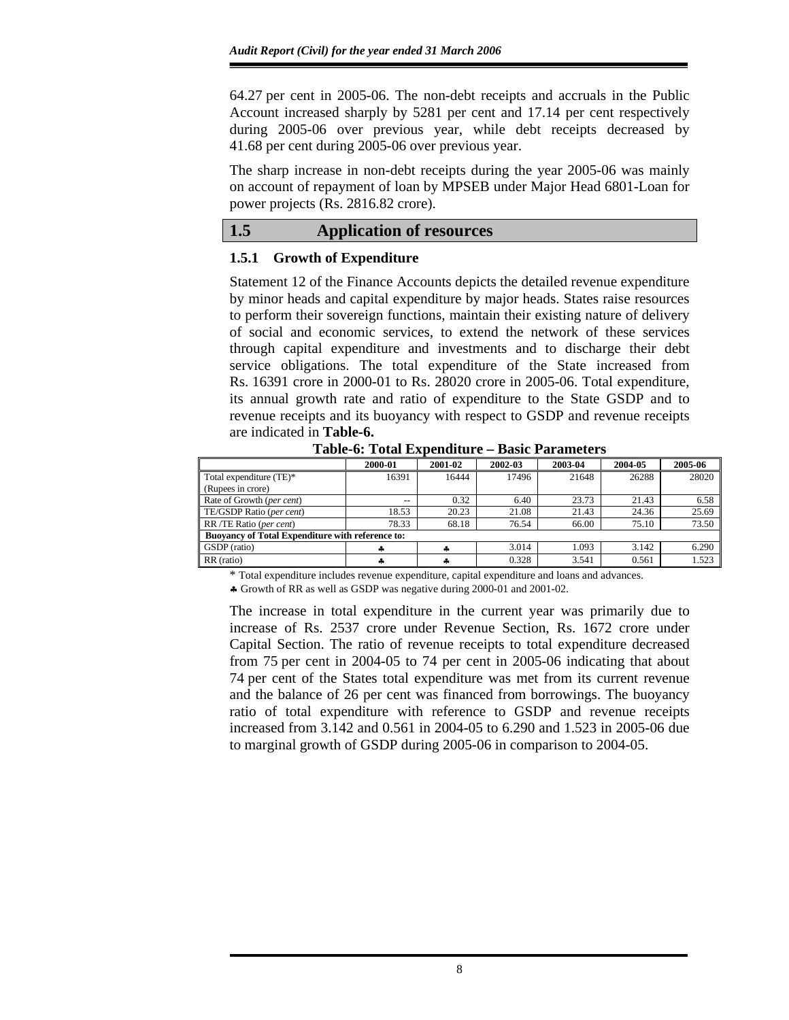64.27 per cent in 2005-06. The non-debt receipts and accruals in the Public Account increased sharply by 5281 per cent and 17.14 per cent respectively during 2005-06 over previous year, while debt receipts decreased by 41.68 per cent during 2005-06 over previous year.

The sharp increase in non-debt receipts during the year 2005-06 was mainly on account of repayment of loan by MPSEB under Major Head 6801-Loan for power projects (Rs. 2816.82 crore).

### **1.5 Application of resources**

### **1.5.1 Growth of Expenditure**

Statement 12 of the Finance Accounts depicts the detailed revenue expenditure by minor heads and capital expenditure by major heads. States raise resources to perform their sovereign functions, maintain their existing nature of delivery of social and economic services, to extend the network of these services through capital expenditure and investments and to discharge their debt service obligations. The total expenditure of the State increased from Rs. 16391 crore in 2000-01 to Rs. 28020 crore in 2005-06. Total expenditure, its annual growth rate and ratio of expenditure to the State GSDP and to revenue receipts and its buoyancy with respect to GSDP and revenue receipts are indicated in **Table-6.** 

|                           | 2000-01                                                 | 2001-02 | 2002-03 | 2003-04 | 2004-05 | 2005-06 |  |  |  |  |
|---------------------------|---------------------------------------------------------|---------|---------|---------|---------|---------|--|--|--|--|
| Total expenditure (TE)*   | 16391                                                   | 16444   | 17496   | 21648   | 26288   | 28020   |  |  |  |  |
| (Rupees in crore)         |                                                         |         |         |         |         |         |  |  |  |  |
| Rate of Growth (per cent) | $- -$                                                   | 0.32    | 6.40    | 23.73   | 21.43   | 6.58    |  |  |  |  |
| TE/GSDP Ratio (per cent)  | 18.53                                                   | 20.23   | 21.08   | 21.43   | 24.36   | 25.69   |  |  |  |  |
| RR /TE Ratio (per cent)   | 78.33                                                   | 68.18   | 76.54   | 66.00   | 75.10   | 73.50   |  |  |  |  |
|                           | <b>Buoyancy of Total Expenditure with reference to:</b> |         |         |         |         |         |  |  |  |  |
| GSDP (ratio)              | 4                                                       |         | 3.014   | 1.093   | 3.142   | 6.290   |  |  |  |  |
| RR (ratio)                | ÷                                                       |         | 0.328   | 3.541   | 0.561   | 1.523   |  |  |  |  |

**Table-6: Total Expenditure – Basic Parameters** 

\* Total expenditure includes revenue expenditure, capital expenditure and loans and advances.

♣ Growth of RR as well as GSDP was negative during 2000-01 and 2001-02.

The increase in total expenditure in the current year was primarily due to increase of Rs. 2537 crore under Revenue Section, Rs. 1672 crore under Capital Section. The ratio of revenue receipts to total expenditure decreased from 75 per cent in 2004-05 to 74 per cent in 2005-06 indicating that about 74 per cent of the States total expenditure was met from its current revenue and the balance of 26 per cent was financed from borrowings. The buoyancy ratio of total expenditure with reference to GSDP and revenue receipts increased from 3.142 and 0.561 in 2004-05 to 6.290 and 1.523 in 2005-06 due to marginal growth of GSDP during 2005-06 in comparison to 2004-05.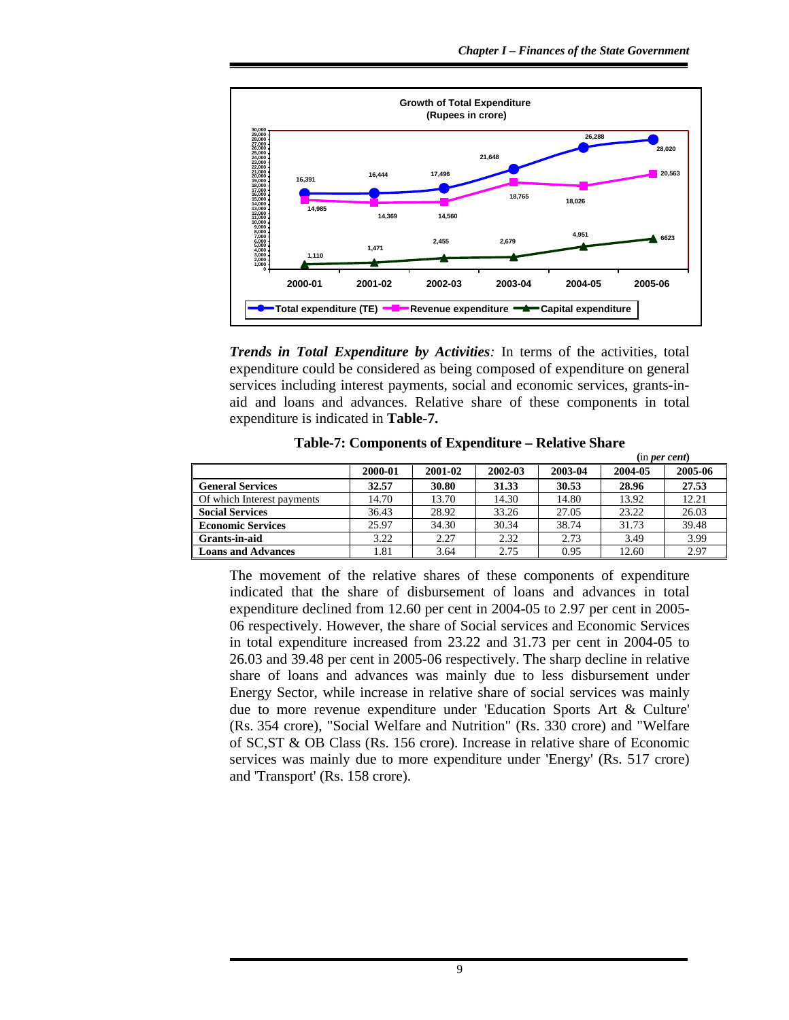

*Trends in Total Expenditure by Activities:* In terms of the activities, total expenditure could be considered as being composed of expenditure on general services including interest payments, social and economic services, grants-inaid and loans and advances. Relative share of these components in total expenditure is indicated in **Table-7.**

|                            |         |         |         |         | (in per cent) |         |  |
|----------------------------|---------|---------|---------|---------|---------------|---------|--|
|                            | 2000-01 | 2001-02 | 2002-03 | 2003-04 | 2004-05       | 2005-06 |  |
| <b>General Services</b>    | 32.57   | 30.80   | 31.33   | 30.53   | 28.96         | 27.53   |  |
| Of which Interest payments | 14.70   | 13.70   | 14.30   | 14.80   | 13.92         | 12.21   |  |
| <b>Social Services</b>     | 36.43   | 28.92   | 33.26   | 27.05   | 23.22         | 26.03   |  |
| <b>Economic Services</b>   | 25.97   | 34.30   | 30.34   | 38.74   | 31.73         | 39.48   |  |
| Grants-in-aid              | 3.22    | 2.27    | 2.32    | 2.73    | 3.49          | 3.99    |  |
| <b>Loans and Advances</b>  | 1.81    | 3.64    | 2.75    | 0.95    | 12.60         | 2.97    |  |

**Table-7: Components of Expenditure – Relative Share** 

The movement of the relative shares of these components of expenditure indicated that the share of disbursement of loans and advances in total expenditure declined from 12.60 per cent in 2004-05 to 2.97 per cent in 2005- 06 respectively. However, the share of Social services and Economic Services in total expenditure increased from 23.22 and 31.73 per cent in 2004-05 to 26.03 and 39.48 per cent in 2005-06 respectively. The sharp decline in relative share of loans and advances was mainly due to less disbursement under Energy Sector, while increase in relative share of social services was mainly due to more revenue expenditure under 'Education Sports Art & Culture' (Rs. 354 crore), "Social Welfare and Nutrition" (Rs. 330 crore) and "Welfare of SC,ST & OB Class (Rs. 156 crore). Increase in relative share of Economic services was mainly due to more expenditure under 'Energy' (Rs. 517 crore) and 'Transport' (Rs. 158 crore).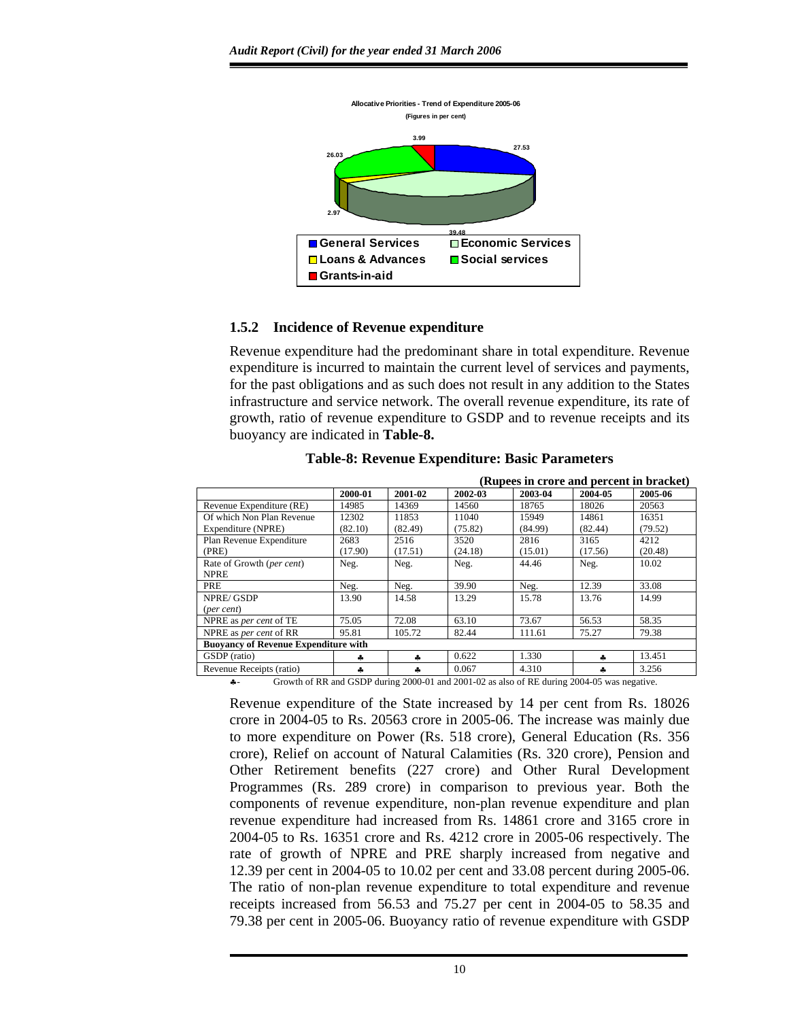

### **1.5.2 Incidence of Revenue expenditure**

Revenue expenditure had the predominant share in total expenditure. Revenue expenditure is incurred to maintain the current level of services and payments, for the past obligations and as such does not result in any addition to the States infrastructure and service network. The overall revenue expenditure, its rate of growth, ratio of revenue expenditure to GSDP and to revenue receipts and its buoyancy are indicated in **Table-8.**

|                                                                                            |         | (Rupees in crore and percent in bracket) |         |         |         |         |  |  |
|--------------------------------------------------------------------------------------------|---------|------------------------------------------|---------|---------|---------|---------|--|--|
|                                                                                            | 2000-01 | 2001-02                                  | 2002-03 | 2003-04 | 2004-05 | 2005-06 |  |  |
| Revenue Expenditure (RE)                                                                   | 14985   | 14369                                    | 14560   | 18765   | 18026   | 20563   |  |  |
| Of which Non Plan Revenue                                                                  | 12302   | 11853                                    | 11040   | 15949   | 14861   | 16351   |  |  |
| Expenditure (NPRE)                                                                         | (82.10) | (82.49)                                  | (75.82) | (84.99) | (82.44) | (79.52) |  |  |
| Plan Revenue Expenditure                                                                   | 2683    | 2516                                     | 3520    | 2816    | 3165    | 4212    |  |  |
| (PRE)                                                                                      | (17.90) | (17.51)                                  | (24.18) | (15.01) | (17.56) | (20.48) |  |  |
| Rate of Growth (per cent)                                                                  | Neg.    | Neg.                                     | Neg.    | 44.46   | Neg.    | 10.02   |  |  |
| <b>NPRE</b>                                                                                |         |                                          |         |         |         |         |  |  |
| PRE                                                                                        | Neg.    | Neg.                                     | 39.90   | Neg.    | 12.39   | 33.08   |  |  |
| NPRE/GSDP                                                                                  | 13.90   | 14.58                                    | 13.29   | 15.78   | 13.76   | 14.99   |  |  |
| (per cent)                                                                                 |         |                                          |         |         |         |         |  |  |
| NPRE as per cent of TE                                                                     | 75.05   | 72.08                                    | 63.10   | 73.67   | 56.53   | 58.35   |  |  |
| NPRE as <i>per cent</i> of RR                                                              | 95.81   | 105.72                                   | 82.44   | 111.61  | 75.27   | 79.38   |  |  |
| <b>Buoyancy of Revenue Expenditure with</b>                                                |         |                                          |         |         |         |         |  |  |
| GSDP (ratio)                                                                               | ۰.      | ۵.                                       | 0.622   | 1.330   | ۰.      | 13.451  |  |  |
| Revenue Receipts (ratio)                                                                   | 4       | ه.                                       | 0.067   | 4.310   | ۵.      | 3.256   |  |  |
| Growth of RR and GSDP during 2000-01 and 2001-02 as also of RE during 2004-05 was negative |         |                                          |         |         |         |         |  |  |

**Table-8: Revenue Expenditure: Basic Parameters** 

♣- Growth of RR and GSDP during 2000-01 and 2001-02 as also of RE during 2004-05 was negative.

Revenue expenditure of the State increased by 14 per cent from Rs. 18026 crore in 2004-05 to Rs. 20563 crore in 2005-06. The increase was mainly due to more expenditure on Power (Rs. 518 crore), General Education (Rs. 356 crore), Relief on account of Natural Calamities (Rs. 320 crore), Pension and Other Retirement benefits (227 crore) and Other Rural Development Programmes (Rs. 289 crore) in comparison to previous year. Both the components of revenue expenditure, non-plan revenue expenditure and plan revenue expenditure had increased from Rs. 14861 crore and 3165 crore in 2004-05 to Rs. 16351 crore and Rs. 4212 crore in 2005-06 respectively. The rate of growth of NPRE and PRE sharply increased from negative and 12.39 per cent in 2004-05 to 10.02 per cent and 33.08 percent during 2005-06. The ratio of non-plan revenue expenditure to total expenditure and revenue receipts increased from 56.53 and 75.27 per cent in 2004-05 to 58.35 and 79.38 per cent in 2005-06. Buoyancy ratio of revenue expenditure with GSDP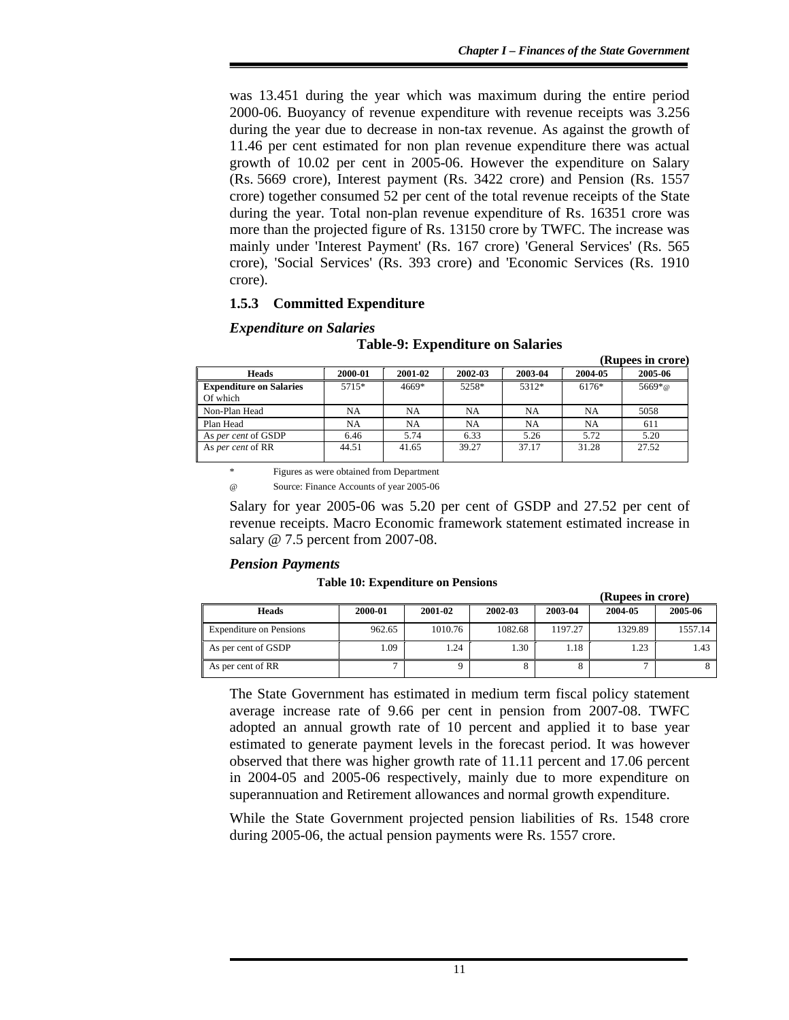was 13.451 during the year which was maximum during the entire period 2000-06. Buoyancy of revenue expenditure with revenue receipts was 3.256 during the year due to decrease in non-tax revenue. As against the growth of 11.46 per cent estimated for non plan revenue expenditure there was actual growth of 10.02 per cent in 2005-06. However the expenditure on Salary (Rs. 5669 crore), Interest payment (Rs. 3422 crore) and Pension (Rs. 1557 crore) together consumed 52 per cent of the total revenue receipts of the State during the year. Total non-plan revenue expenditure of Rs. 16351 crore was more than the projected figure of Rs. 13150 crore by TWFC. The increase was mainly under 'Interest Payment' (Rs. 167 crore) 'General Services' (Rs. 565 crore), 'Social Services' (Rs. 393 crore) and 'Economic Services (Rs. 1910 crore).

## **1.5.3 Committed Expenditure**

### *Expenditure on Salaries*

|                                            |         |         |         |           |         | (Rupees in crore) |
|--------------------------------------------|---------|---------|---------|-----------|---------|-------------------|
| <b>Heads</b>                               | 2000-01 | 2001-02 | 2002-03 | 2003-04   | 2004-05 | 2005-06           |
| <b>Expenditure on Salaries</b><br>Of which | 5715*   | 4669*   | 5258*   | 5312*     | 6176*   | $5669*$ @         |
| Non-Plan Head                              | NA      | NA      | NA      | <b>NA</b> | NA      | 5058              |
| Plan Head                                  | NA      | NA      | NA      | NA        | NA      | 611               |
| As per cent of GSDP                        | 6.46    | 5.74    | 6.33    | 5.26      | 5.72    | 5.20              |
| As per cent of RR                          | 44.51   | 41.65   | 39.27   | 37.17     | 31.28   | 27.52             |

### **Table-9: Expenditure on Salaries**

Figures as were obtained from Department

Source: Finance Accounts of year 2005-06

Salary for year 2005-06 was 5.20 per cent of GSDP and 27.52 per cent of revenue receipts. Macro Economic framework statement estimated increase in salary @ 7.5 percent from 2007-08.

### *Pension Payments*

#### **Table 10: Expenditure on Pensions**

|                                |              |         |         |         | (Rupees in crore) |         |
|--------------------------------|--------------|---------|---------|---------|-------------------|---------|
| <b>Heads</b>                   | 2000-01      | 2001-02 | 2002-03 | 2003-04 | 2004-05           | 2005-06 |
| <b>Expenditure on Pensions</b> | 962.65       | 1010.76 | 1082.68 | 1197.27 | 1329.89           | 1557.14 |
| As per cent of GSDP            | 1.09         | 1.24    | 1.30    | 1.18    | 1.23              | 1.43    |
| As per cent of RR              | $\mathbf{r}$ |         |         |         |                   |         |

The State Government has estimated in medium term fiscal policy statement average increase rate of 9.66 per cent in pension from 2007-08. TWFC adopted an annual growth rate of 10 percent and applied it to base year estimated to generate payment levels in the forecast period. It was however observed that there was higher growth rate of 11.11 percent and 17.06 percent in 2004-05 and 2005-06 respectively, mainly due to more expenditure on superannuation and Retirement allowances and normal growth expenditure.

While the State Government projected pension liabilities of Rs. 1548 crore during 2005-06, the actual pension payments were Rs. 1557 crore.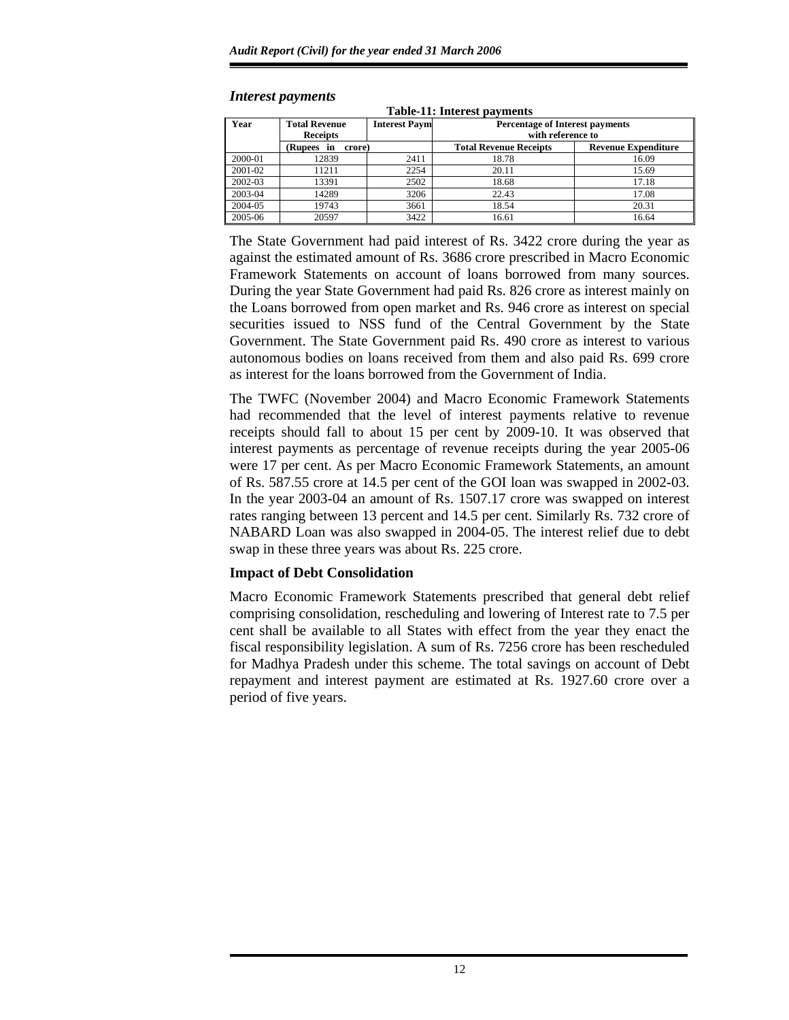| Year    | <b>Total Revenue</b><br><b>Receipts</b> | <b>Interest Paym</b> | <b>Percentage of Interest payments</b><br>with reference to |                            |  |  |
|---------|-----------------------------------------|----------------------|-------------------------------------------------------------|----------------------------|--|--|
|         | (Rupees in<br>crore)                    |                      | <b>Total Revenue Receipts</b>                               | <b>Revenue Expenditure</b> |  |  |
| 2000-01 | 12839                                   | 2411                 | 18.78                                                       | 16.09                      |  |  |
| 2001-02 | 11211                                   | 2254                 | 20.11                                                       | 15.69                      |  |  |
| 2002-03 | 13391                                   | 2502                 | 18.68                                                       | 17.18                      |  |  |
| 2003-04 | 14289                                   | 3206                 | 22.43                                                       | 17.08                      |  |  |
| 2004-05 | 19743                                   | 3661                 | 18.54                                                       | 20.31                      |  |  |
| 2005-06 | 20597                                   | 3422                 | 16.61                                                       | 16.64                      |  |  |

**Table-11: Interest payments** 

#### *Interest payments*

The State Government had paid interest of Rs. 3422 crore during the year as against the estimated amount of Rs. 3686 crore prescribed in Macro Economic Framework Statements on account of loans borrowed from many sources. During the year State Government had paid Rs. 826 crore as interest mainly on the Loans borrowed from open market and Rs. 946 crore as interest on special securities issued to NSS fund of the Central Government by the State Government. The State Government paid Rs. 490 crore as interest to various autonomous bodies on loans received from them and also paid Rs. 699 crore as interest for the loans borrowed from the Government of India.

The TWFC (November 2004) and Macro Economic Framework Statements had recommended that the level of interest payments relative to revenue receipts should fall to about 15 per cent by 2009-10. It was observed that interest payments as percentage of revenue receipts during the year 2005-06 were 17 per cent. As per Macro Economic Framework Statements, an amount of Rs. 587.55 crore at 14.5 per cent of the GOI loan was swapped in 2002-03. In the year 2003-04 an amount of Rs. 1507.17 crore was swapped on interest rates ranging between 13 percent and 14.5 per cent. Similarly Rs. 732 crore of NABARD Loan was also swapped in 2004-05. The interest relief due to debt swap in these three years was about Rs. 225 crore.

## **Impact of Debt Consolidation**

Macro Economic Framework Statements prescribed that general debt relief comprising consolidation, rescheduling and lowering of Interest rate to 7.5 per cent shall be available to all States with effect from the year they enact the fiscal responsibility legislation. A sum of Rs. 7256 crore has been rescheduled for Madhya Pradesh under this scheme. The total savings on account of Debt repayment and interest payment are estimated at Rs. 1927.60 crore over a period of five years.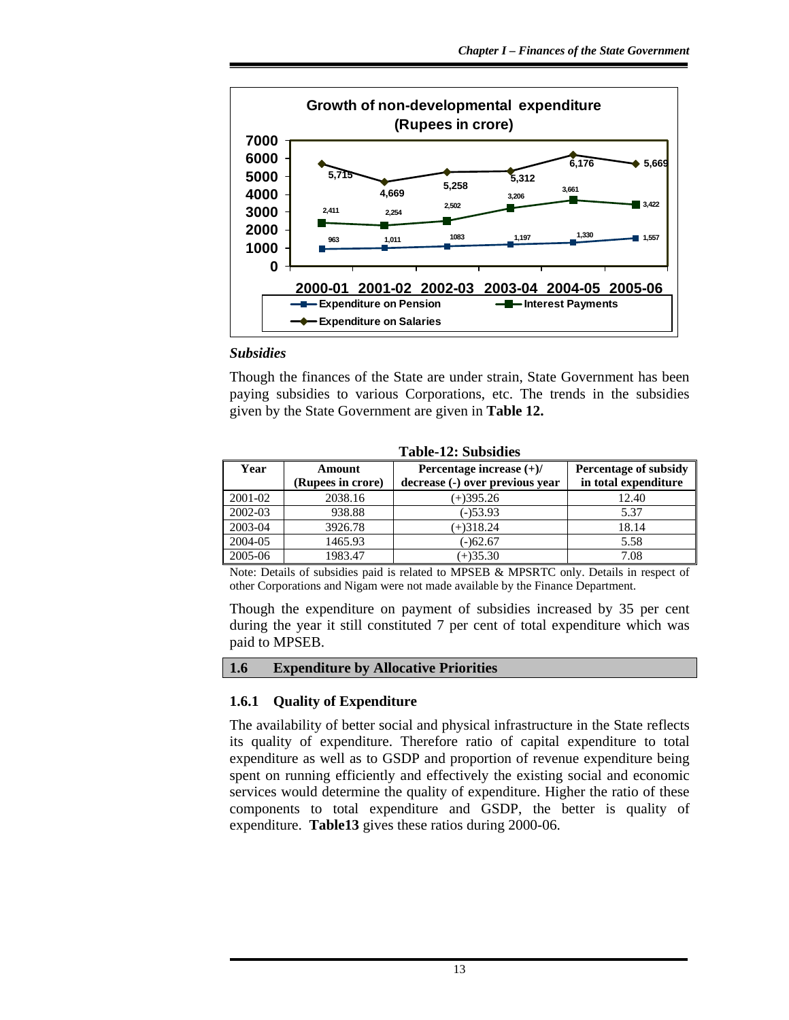

### *Subsidies*

Though the finances of the State are under strain, State Government has been paying subsidies to various Corporations, etc. The trends in the subsidies given by the State Government are given in **Table 12.**

| Table-12: Subsidies |                             |                                                               |                                               |  |  |  |  |  |  |  |
|---------------------|-----------------------------|---------------------------------------------------------------|-----------------------------------------------|--|--|--|--|--|--|--|
| Year                | Amount<br>(Rupees in crore) | Percentage increase $(+)/$<br>decrease (-) over previous year | Percentage of subsidy<br>in total expenditure |  |  |  |  |  |  |  |
| 2001-02             | 2038.16                     | $(+)395.26$                                                   | 12.40                                         |  |  |  |  |  |  |  |
| 2002-03             | 938.88                      | $(-)53.93$                                                    | 5.37                                          |  |  |  |  |  |  |  |
| 2003-04             | 3926.78                     | $(+)318.24$                                                   | 18.14                                         |  |  |  |  |  |  |  |
| 2004-05             | 1465.93                     | (-)62.67                                                      | 5.58                                          |  |  |  |  |  |  |  |
| 2005-06             | 1983.47                     | $(+)35.30$                                                    | 7.08                                          |  |  |  |  |  |  |  |

**Table-12: Subsidies** 

Note: Details of subsidies paid is related to MPSEB & MPSRTC only. Details in respect of other Corporations and Nigam were not made available by the Finance Department.

Though the expenditure on payment of subsidies increased by 35 per cent during the year it still constituted 7 per cent of total expenditure which was paid to MPSEB.

#### **1.6 Expenditure by Allocative Priorities**

#### **1.6.1 Quality of Expenditure**

The availability of better social and physical infrastructure in the State reflects its quality of expenditure. Therefore ratio of capital expenditure to total expenditure as well as to GSDP and proportion of revenue expenditure being spent on running efficiently and effectively the existing social and economic services would determine the quality of expenditure. Higher the ratio of these components to total expenditure and GSDP, the better is quality of expenditure. **Table13** gives these ratios during 2000-06.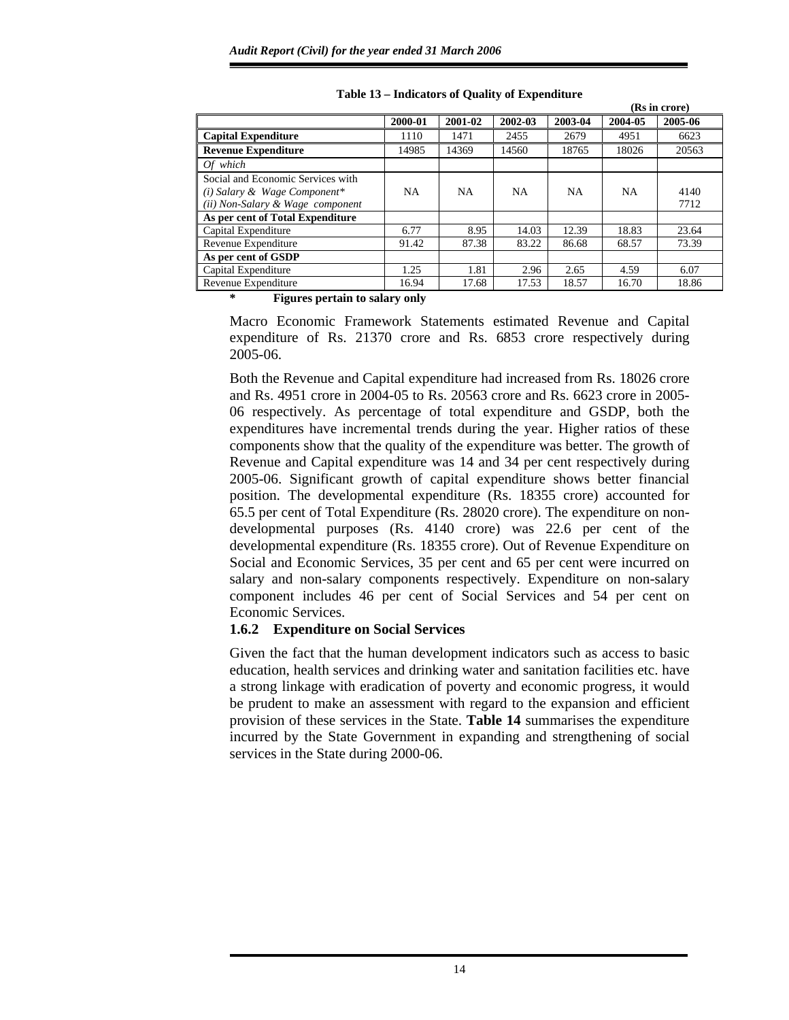|                                                                                                       |           |           |           |           |           | (Rs in crore) |
|-------------------------------------------------------------------------------------------------------|-----------|-----------|-----------|-----------|-----------|---------------|
|                                                                                                       | 2000-01   | 2001-02   | 2002-03   | 2003-04   | 2004-05   | 2005-06       |
| <b>Capital Expenditure</b>                                                                            | 1110      | 1471      | 2455      | 2679      | 4951      | 6623          |
| <b>Revenue Expenditure</b>                                                                            | 14985     | 14369     | 14560     | 18765     | 18026     | 20563         |
| Of which                                                                                              |           |           |           |           |           |               |
| Social and Economic Services with<br>(i) Salary & Wage Component*<br>(ii) Non-Salary & Wage component | <b>NA</b> | <b>NA</b> | <b>NA</b> | <b>NA</b> | <b>NA</b> | 4140<br>7712  |
| As per cent of Total Expenditure                                                                      |           |           |           |           |           |               |
| Capital Expenditure                                                                                   | 6.77      | 8.95      | 14.03     | 12.39     | 18.83     | 23.64         |
| Revenue Expenditure                                                                                   | 91.42     | 87.38     | 83.22     | 86.68     | 68.57     | 73.39         |
| As per cent of GSDP                                                                                   |           |           |           |           |           |               |
| Capital Expenditure                                                                                   | 1.25      | 1.81      | 2.96      | 2.65      | 4.59      | 6.07          |
| Revenue Expenditure                                                                                   | 16.94     | 17.68     | 17.53     | 18.57     | 16.70     | 18.86         |

**Table 13 – Indicators of Quality of Expenditure** 

**\* Figures pertain to salary only** 

Macro Economic Framework Statements estimated Revenue and Capital expenditure of Rs. 21370 crore and Rs. 6853 crore respectively during 2005-06.

Both the Revenue and Capital expenditure had increased from Rs. 18026 crore and Rs. 4951 crore in 2004-05 to Rs. 20563 crore and Rs. 6623 crore in 2005- 06 respectively. As percentage of total expenditure and GSDP, both the expenditures have incremental trends during the year. Higher ratios of these components show that the quality of the expenditure was better. The growth of Revenue and Capital expenditure was 14 and 34 per cent respectively during 2005-06. Significant growth of capital expenditure shows better financial position. The developmental expenditure (Rs. 18355 crore) accounted for 65.5 per cent of Total Expenditure (Rs. 28020 crore). The expenditure on nondevelopmental purposes (Rs. 4140 crore) was 22.6 per cent of the developmental expenditure (Rs. 18355 crore). Out of Revenue Expenditure on Social and Economic Services, 35 per cent and 65 per cent were incurred on salary and non-salary components respectively. Expenditure on non-salary component includes 46 per cent of Social Services and 54 per cent on Economic Services.

## **1.6.2 Expenditure on Social Services**

Given the fact that the human development indicators such as access to basic education, health services and drinking water and sanitation facilities etc. have a strong linkage with eradication of poverty and economic progress, it would be prudent to make an assessment with regard to the expansion and efficient provision of these services in the State. **Table 14** summarises the expenditure incurred by the State Government in expanding and strengthening of social services in the State during 2000-06.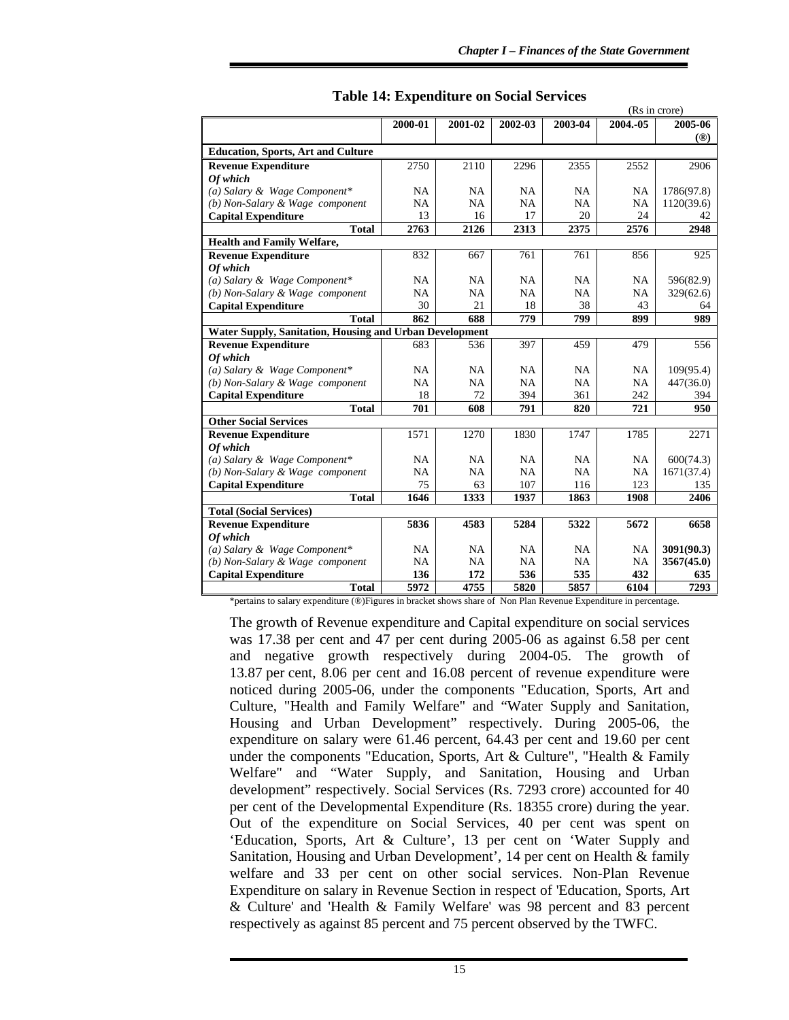|                                                                |           |           |           | (Rs in crore) |           |               |  |
|----------------------------------------------------------------|-----------|-----------|-----------|---------------|-----------|---------------|--|
|                                                                | 2000-01   | 2001-02   | 2002-03   | 2003-04       | 2004.-05  | 2005-06       |  |
|                                                                |           |           |           |               |           | $(\circledR)$ |  |
| <b>Education, Sports, Art and Culture</b>                      |           |           |           |               |           |               |  |
| <b>Revenue Expenditure</b>                                     | 2750      | 2110      | 2296      | 2355          | 2552      | 2906          |  |
| Of which                                                       |           |           |           |               |           |               |  |
| (a) Salary & Wage Component*                                   | <b>NA</b> | <b>NA</b> | NA        | <b>NA</b>     | NA        | 1786(97.8)    |  |
| (b) Non-Salary & Wage component                                | <b>NA</b> | <b>NA</b> | <b>NA</b> | <b>NA</b>     | <b>NA</b> | 1120(39.6)    |  |
| <b>Capital Expenditure</b>                                     | 13        | 16        | 17        | 20            | 24        | 42            |  |
| <b>Total</b>                                                   | 2763      | 2126      | 2313      | 2375          | 2576      | 2948          |  |
| <b>Health and Family Welfare,</b>                              |           |           |           |               |           |               |  |
| <b>Revenue Expenditure</b>                                     | 832       | 667       | 761       | 761           | 856       | 925           |  |
| Of which                                                       |           |           |           |               |           |               |  |
| (a) Salary & Wage Component*                                   | <b>NA</b> | <b>NA</b> | <b>NA</b> | NA            | NA        | 596(82.9)     |  |
| (b) Non-Salary & Wage component                                | NA        | <b>NA</b> | <b>NA</b> | <b>NA</b>     | NA        | 329(62.6)     |  |
| <b>Capital Expenditure</b>                                     | 30        | 21        | 18        | 38            | 43        | 64            |  |
| <b>Total</b>                                                   | 862       | 688       | 779       | 799           | 899       | 989           |  |
| <b>Water Supply, Sanitation, Housing and Urban Development</b> |           |           |           |               |           |               |  |
| <b>Revenue Expenditure</b>                                     | 683       | 536       | 397       | 459           | 479       | 556           |  |
| Of which                                                       |           |           |           |               |           |               |  |
| (a) Salary & Wage Component*                                   | NA        | <b>NA</b> | <b>NA</b> | <b>NA</b>     | <b>NA</b> | 109(95.4)     |  |
| (b) Non-Salary & Wage component                                | <b>NA</b> | <b>NA</b> | <b>NA</b> | NA            | <b>NA</b> | 447(36.0)     |  |
| <b>Capital Expenditure</b>                                     | 18        | 72        | 394       | 361           | 242       | 394           |  |
| <b>Total</b>                                                   | 701       | 608       | 791       | 820           | 721       | 950           |  |
| <b>Other Social Services</b>                                   |           |           |           |               |           |               |  |
| <b>Revenue Expenditure</b>                                     | 1571      | 1270      | 1830      | 1747          | 1785      | 2271          |  |
| Of which                                                       |           |           |           |               |           |               |  |
| (a) Salary & Wage Component*                                   | <b>NA</b> | <b>NA</b> | <b>NA</b> | <b>NA</b>     | <b>NA</b> | 600(74.3)     |  |
| (b) Non-Salary & Wage component                                | <b>NA</b> | <b>NA</b> | <b>NA</b> | <b>NA</b>     | <b>NA</b> | 1671(37.4)    |  |
| <b>Capital Expenditure</b>                                     | 75        | 63        | 107       | 116           | 123       | 135           |  |
| <b>Total</b>                                                   | 1646      | 1333      | 1937      | 1863          | 1908      | 2406          |  |
| <b>Total (Social Services)</b>                                 |           |           |           |               |           |               |  |
| <b>Revenue Expenditure</b>                                     | 5836      | 4583      | 5284      | 5322          | 5672      | 6658          |  |
| Of which                                                       |           |           |           |               |           |               |  |
| (a) Salary & Wage Component*                                   | <b>NA</b> | <b>NA</b> | <b>NA</b> | NA            | <b>NA</b> | 3091(90.3)    |  |
| (b) Non-Salary & Wage component                                | NA        | <b>NA</b> | <b>NA</b> | NA            | <b>NA</b> | 3567(45.0)    |  |
| <b>Capital Expenditure</b>                                     | 136       | 172       | 536       | 535           | 432       | 635           |  |
| <b>Total</b>                                                   | 5972      | 4755      | 5820      | 5857          | 6104      | 7293          |  |

**Table 14: Expenditure on Social Services** 

\*pertains to salary expenditure (®)Figures in bracket shows share of Non Plan Revenue Expenditure in percentage.

The growth of Revenue expenditure and Capital expenditure on social services was 17.38 per cent and 47 per cent during 2005-06 as against 6.58 per cent and negative growth respectively during 2004-05. The growth of 13.87 per cent, 8.06 per cent and 16.08 percent of revenue expenditure were noticed during 2005-06, under the components "Education, Sports, Art and Culture, "Health and Family Welfare" and "Water Supply and Sanitation, Housing and Urban Development" respectively. During 2005-06, the expenditure on salary were 61.46 percent, 64.43 per cent and 19.60 per cent under the components "Education, Sports, Art & Culture", "Health & Family Welfare" and "Water Supply, and Sanitation, Housing and Urban development" respectively. Social Services (Rs. 7293 crore) accounted for 40 per cent of the Developmental Expenditure (Rs. 18355 crore) during the year. Out of the expenditure on Social Services, 40 per cent was spent on 'Education, Sports, Art & Culture', 13 per cent on 'Water Supply and Sanitation, Housing and Urban Development', 14 per cent on Health & family welfare and 33 per cent on other social services. Non-Plan Revenue Expenditure on salary in Revenue Section in respect of 'Education, Sports, Art & Culture' and 'Health & Family Welfare' was 98 percent and 83 percent respectively as against 85 percent and 75 percent observed by the TWFC.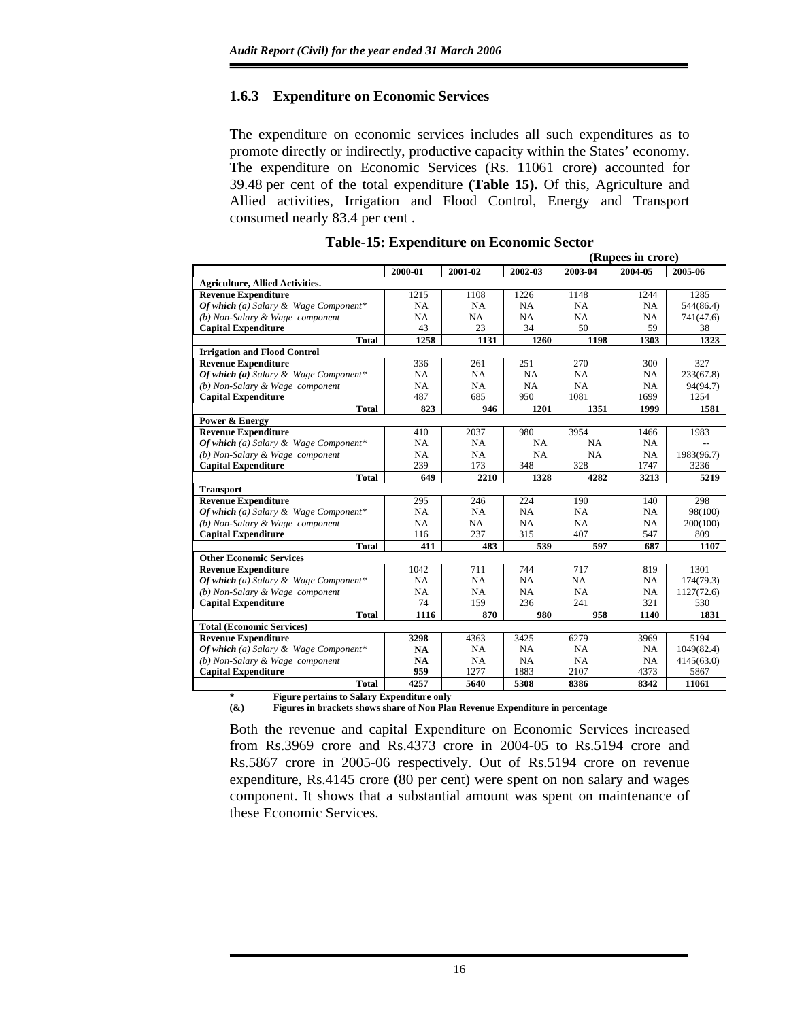## **1.6.3 Expenditure on Economic Services**

The expenditure on economic services includes all such expenditures as to promote directly or indirectly, productive capacity within the States' economy. The expenditure on Economic Services (Rs. 11061 crore) accounted for 39.48 per cent of the total expenditure **(Table 15).** Of this, Agriculture and Allied activities, Irrigation and Flood Control, Energy and Transport consumed nearly 83.4 per cent .

|                                                             |           | (Rupees in crore) |         |           |         |            |  |  |
|-------------------------------------------------------------|-----------|-------------------|---------|-----------|---------|------------|--|--|
|                                                             | 2000-01   | 2001-02           | 2002-03 | 2003-04   | 2004-05 | 2005-06    |  |  |
| <b>Agriculture, Allied Activities.</b>                      |           |                   |         |           |         |            |  |  |
| <b>Revenue Expenditure</b>                                  | 1215      | 1108              | 1226    | 1148      | 1244    | 1285       |  |  |
| Of which (a) Salary & Wage Component*                       | NA        | NA                | NA      | NA        | NA      | 544(86.4)  |  |  |
| (b) Non-Salary & Wage component                             | NA        | NA                | NA      | NA        | NA      | 741(47.6)  |  |  |
| <b>Capital Expenditure</b>                                  | 43        | 23                | 34      | 50        | 59      | 38         |  |  |
| <b>Total</b>                                                | 1258      | 1131              | 1260    | 1198      | 1303    | 1323       |  |  |
| <b>Irrigation and Flood Control</b>                         |           |                   |         |           |         |            |  |  |
| <b>Revenue Expenditure</b>                                  | 336       | 261               | 251     | 270       | 300     | 327        |  |  |
| Of which (a) Salary & Wage Component*                       | NA        | NA                | NA      | NA        | NA      | 233(67.8)  |  |  |
| (b) Non-Salary & Wage component                             | NA        | NA                | NA      | NA        | NA      | 94(94.7)   |  |  |
| <b>Capital Expenditure</b>                                  | 487       | 685               | 950     | 1081      | 1699    | 1254       |  |  |
| <b>Total</b>                                                | 823       | 946               | 1201    | 1351      | 1999    | 1581       |  |  |
| Power & Energy                                              |           |                   |         |           |         |            |  |  |
| <b>Revenue Expenditure</b>                                  | 410       | 2037              | 980     | 3954      | 1466    | 1983       |  |  |
| Of which (a) Salary & Wage Component*                       | NA        | NA                | NA      | NA        | NA      |            |  |  |
| (b) Non-Salary & Wage component                             | NA        | NA                | NA      | NA        | NA      | 1983(96.7) |  |  |
| <b>Capital Expenditure</b>                                  | 239       | 173               | 348     | 328       | 1747    | 3236       |  |  |
| <b>Total</b>                                                | 649       | 2210              | 1328    | 4282      | 3213    | 5219       |  |  |
| <b>Transport</b>                                            |           |                   |         |           |         |            |  |  |
| <b>Revenue Expenditure</b>                                  | 295       | 246               | 224     | 190       | 140     | 298        |  |  |
| Of which (a) Salary & Wage Component*                       | NA        | NA                | NA      | NA        | NA      | 98(100)    |  |  |
| (b) Non-Salary & Wage component                             | <b>NA</b> | <b>NA</b>         | NA.     | <b>NA</b> | NA      | 200(100)   |  |  |
| <b>Capital Expenditure</b>                                  | 116       | 237               | 315     | 407       | 547     | 809        |  |  |
| <b>Total</b>                                                | 411       | 483               | 539     | 597       | 687     | 1107       |  |  |
| <b>Other Economic Services</b>                              |           |                   |         |           |         |            |  |  |
| <b>Revenue Expenditure</b>                                  | 1042      | 711               | 744     | 717       | 819     | 1301       |  |  |
| Of which (a) Salary & Wage Component*                       | NA        | NA                | NA      | NA        | NA      | 174(79.3)  |  |  |
| (b) Non-Salary & Wage component                             | NA        | NA                | NA      | NA        | NA      | 1127(72.6) |  |  |
| <b>Capital Expenditure</b>                                  | 74        | 159               | 236     | 241       | 321     | 530        |  |  |
| <b>Total</b>                                                | 1116      | 870               | 980     | 958       | 1140    | 1831       |  |  |
| <b>Total (Economic Services)</b>                            |           |                   |         |           |         |            |  |  |
| <b>Revenue Expenditure</b>                                  | 3298      | 4363              | 3425    | 6279      | 3969    | 5194       |  |  |
| Of which (a) Salary & Wage Component*                       | <b>NA</b> | <b>NA</b>         | NA      | NA        | NA      | 1049(82.4) |  |  |
| (b) Non-Salary & Wage component                             | <b>NA</b> | NA                | NA      | NA        | NA      | 4145(63.0) |  |  |
| <b>Capital Expenditure</b>                                  | 959       | 1277              | 1883    | 2107      | 4373    | 5867       |  |  |
| <b>Total</b>                                                | 4257      | 5640              | 5308    | 8386      | 8342    | 11061      |  |  |
| $\ast$<br><b>Figure pertains to Salary Expenditure only</b> |           |                   |         |           |         |            |  |  |

|  |  | <b>Table-15: Expenditure on Economic Sector</b> |
|--|--|-------------------------------------------------|
|--|--|-------------------------------------------------|

**(&) Figures in brackets shows share of Non Plan Revenue Expenditure in percentage** 

Both the revenue and capital Expenditure on Economic Services increased from Rs.3969 crore and Rs.4373 crore in 2004-05 to Rs.5194 crore and Rs.5867 crore in 2005-06 respectively. Out of Rs.5194 crore on revenue expenditure, Rs.4145 crore (80 per cent) were spent on non salary and wages component. It shows that a substantial amount was spent on maintenance of these Economic Services.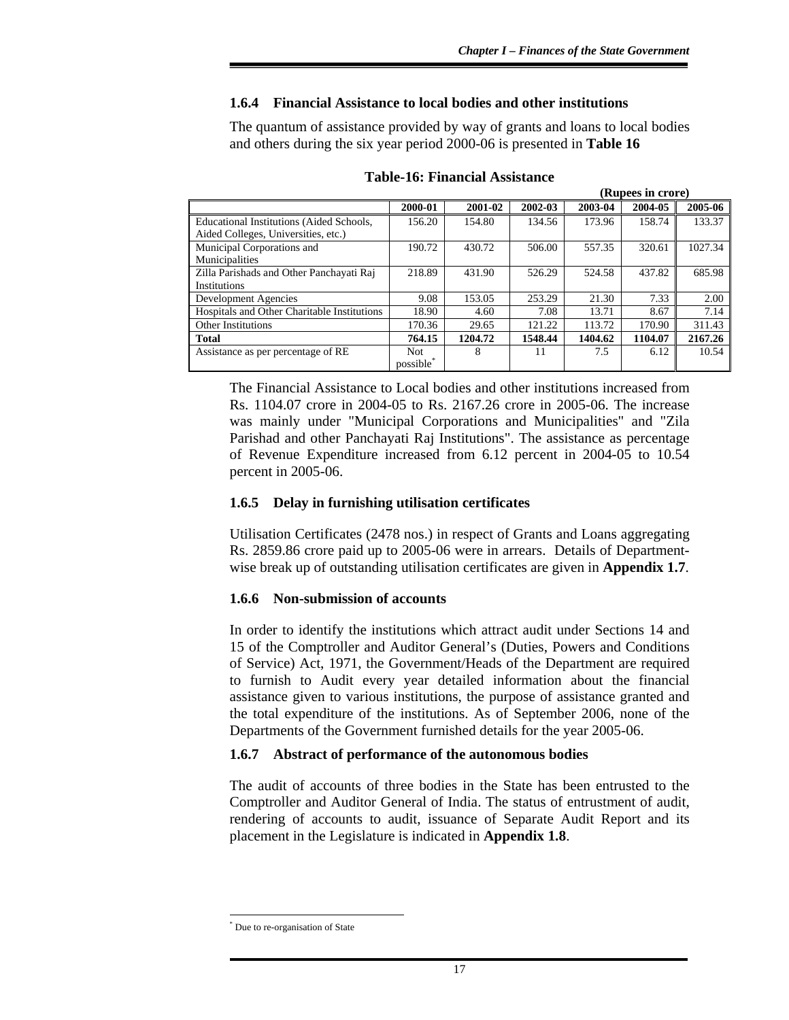## **1.6.4 Financial Assistance to local bodies and other institutions**

The quantum of assistance provided by way of grants and loans to local bodies and others during the six year period 2000-06 is presented in **Table 16**

|                                             | (Rupees in crore)     |         |         |         |         |         |  |  |
|---------------------------------------------|-----------------------|---------|---------|---------|---------|---------|--|--|
|                                             | 2000-01               | 2001-02 | 2002-03 | 2003-04 | 2004-05 | 2005-06 |  |  |
| Educational Institutions (Aided Schools,    | 156.20                | 154.80  | 134.56  | 173.96  | 158.74  | 133.37  |  |  |
| Aided Colleges, Universities, etc.)         |                       |         |         |         |         |         |  |  |
| Municipal Corporations and                  | 190.72                | 430.72  | 506.00  | 557.35  | 320.61  | 1027.34 |  |  |
| Municipalities                              |                       |         |         |         |         |         |  |  |
| Zilla Parishads and Other Panchayati Raj    | 218.89                | 431.90  | 526.29  | 524.58  | 437.82  | 685.98  |  |  |
| <b>Institutions</b>                         |                       |         |         |         |         |         |  |  |
| Development Agencies                        | 9.08                  | 153.05  | 253.29  | 21.30   | 7.33    | 2.00    |  |  |
| Hospitals and Other Charitable Institutions | 18.90                 | 4.60    | 7.08    | 13.71   | 8.67    | 7.14    |  |  |
| <b>Other Institutions</b>                   | 170.36                | 29.65   | 121.22  | 113.72  | 170.90  | 311.43  |  |  |
| <b>Total</b>                                | 764.15                | 1204.72 | 1548.44 | 1404.62 | 1104.07 | 2167.26 |  |  |
| Assistance as per percentage of RE          | <b>Not</b>            | 8       | 11      | 7.5     | 6.12    | 10.54   |  |  |
|                                             | possible <sup>*</sup> |         |         |         |         |         |  |  |

### **Table-16: Financial Assistance**

The Financial Assistance to Local bodies and other institutions increased from Rs. 1104.07 crore in 2004-05 to Rs. 2167.26 crore in 2005-06. The increase was mainly under "Municipal Corporations and Municipalities" and "Zila Parishad and other Panchayati Raj Institutions". The assistance as percentage of Revenue Expenditure increased from 6.12 percent in 2004-05 to 10.54 percent in 2005-06.

### **1.6.5 Delay in furnishing utilisation certificates**

Utilisation Certificates (2478 nos.) in respect of Grants and Loans aggregating Rs. 2859.86 crore paid up to 2005-06 were in arrears. Details of Departmentwise break up of outstanding utilisation certificates are given in **Appendix 1.7**.

### **1.6.6 Non-submission of accounts**

In order to identify the institutions which attract audit under Sections 14 and 15 of the Comptroller and Auditor General's (Duties, Powers and Conditions of Service) Act, 1971, the Government/Heads of the Department are required to furnish to Audit every year detailed information about the financial assistance given to various institutions, the purpose of assistance granted and the total expenditure of the institutions. As of September 2006, none of the Departments of the Government furnished details for the year 2005-06.

## **1.6.7 Abstract of performance of the autonomous bodies**

The audit of accounts of three bodies in the State has been entrusted to the Comptroller and Auditor General of India. The status of entrustment of audit, rendering of accounts to audit, issuance of Separate Audit Report and its placement in the Legislature is indicated in **Appendix 1.8**.

l \* Due to re-organisation of State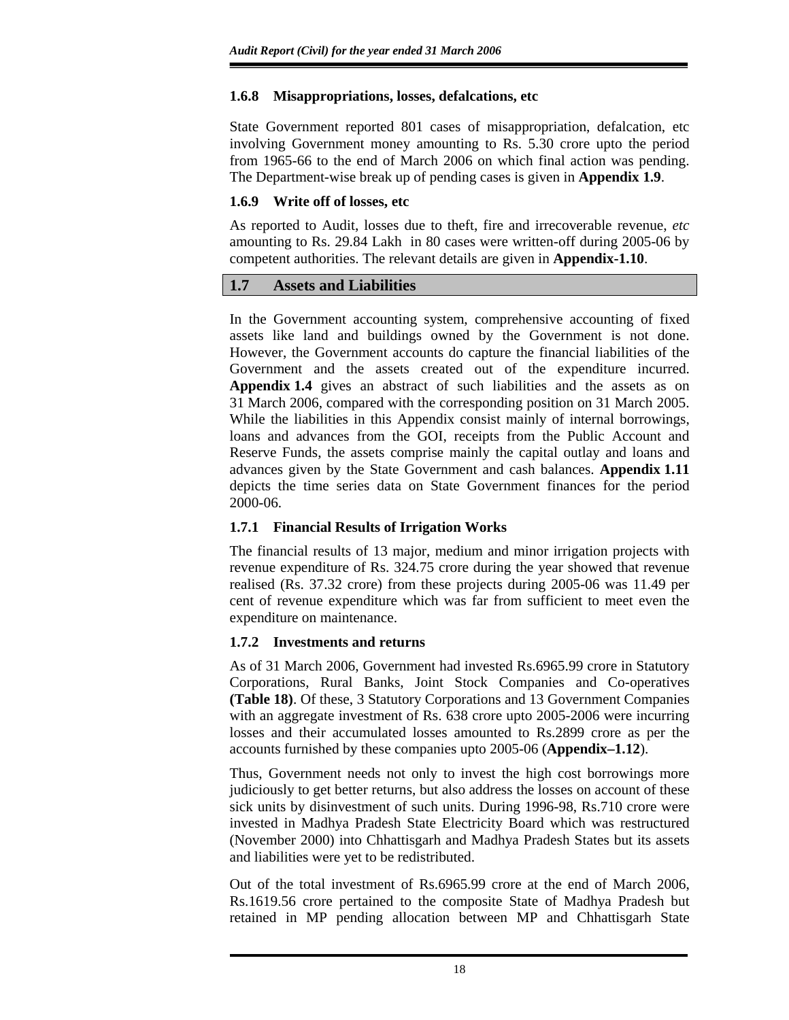# **1.6.8 Misappropriations, losses, defalcations, etc**

State Government reported 801 cases of misappropriation, defalcation, etc involving Government money amounting to Rs. 5.30 crore upto the period from 1965-66 to the end of March 2006 on which final action was pending. The Department-wise break up of pending cases is given in **Appendix 1.9**.

# **1.6.9 Write off of losses, etc**

As reported to Audit, losses due to theft, fire and irrecoverable revenue, *etc*  amounting to Rs. 29.84 Lakh in 80 cases were written-off during 2005-06 by competent authorities. The relevant details are given in **Appendix-1.10**.

# **1.7 Assets and Liabilities**

In the Government accounting system, comprehensive accounting of fixed assets like land and buildings owned by the Government is not done. However, the Government accounts do capture the financial liabilities of the Government and the assets created out of the expenditure incurred. **Appendix 1.4** gives an abstract of such liabilities and the assets as on 31 March 2006, compared with the corresponding position on 31 March 2005. While the liabilities in this Appendix consist mainly of internal borrowings, loans and advances from the GOI, receipts from the Public Account and Reserve Funds, the assets comprise mainly the capital outlay and loans and advances given by the State Government and cash balances. **Appendix 1.11** depicts the time series data on State Government finances for the period 2000-06.

# **1.7.1 Financial Results of Irrigation Works**

The financial results of 13 major, medium and minor irrigation projects with revenue expenditure of Rs. 324.75 crore during the year showed that revenue realised (Rs. 37.32 crore) from these projects during 2005-06 was 11.49 per cent of revenue expenditure which was far from sufficient to meet even the expenditure on maintenance.

## **1.7.2 Investments and returns**

As of 31 March 2006, Government had invested Rs.6965.99 crore in Statutory Corporations, Rural Banks, Joint Stock Companies and Co-operatives **(Table 18)**. Of these, 3 Statutory Corporations and 13 Government Companies with an aggregate investment of Rs. 638 crore upto 2005-2006 were incurring losses and their accumulated losses amounted to Rs.2899 crore as per the accounts furnished by these companies upto 2005-06 (**Appendix–1.12**).

Thus, Government needs not only to invest the high cost borrowings more judiciously to get better returns, but also address the losses on account of these sick units by disinvestment of such units. During 1996-98, Rs.710 crore were invested in Madhya Pradesh State Electricity Board which was restructured (November 2000) into Chhattisgarh and Madhya Pradesh States but its assets and liabilities were yet to be redistributed.

Out of the total investment of Rs.6965.99 crore at the end of March 2006, Rs.1619.56 crore pertained to the composite State of Madhya Pradesh but retained in MP pending allocation between MP and Chhattisgarh State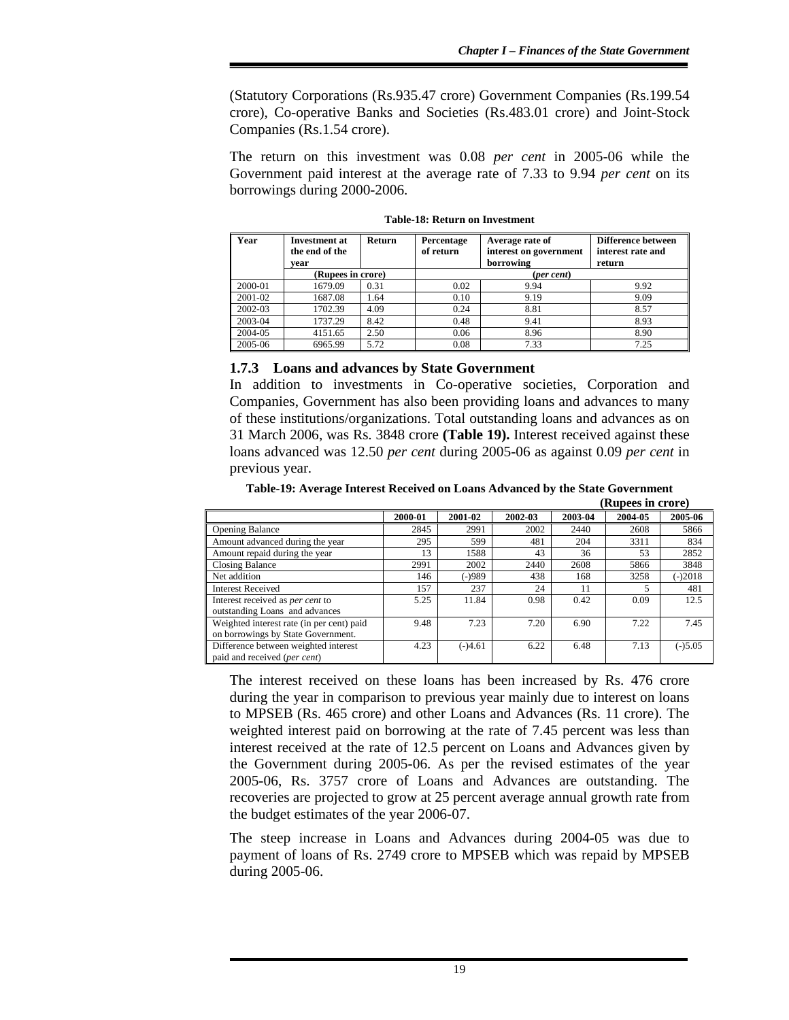(Statutory Corporations (Rs.935.47 crore) Government Companies (Rs.199.54 crore), Co-operative Banks and Societies (Rs.483.01 crore) and Joint-Stock Companies (Rs.1.54 crore).

The return on this investment was 0.08 *per cent* in 2005-06 while the Government paid interest at the average rate of 7.33 to 9.94 *per cent* on its borrowings during 2000-2006.

| Year    | <b>Investment at</b><br>the end of the<br>vear | <b>Return</b> | Average rate of<br>Percentage<br>interest on government<br>of return<br>borrowing |            | Difference between<br>interest rate and<br>return |
|---------|------------------------------------------------|---------------|-----------------------------------------------------------------------------------|------------|---------------------------------------------------|
|         | (Rupees in crore)                              |               |                                                                                   | (per cent) |                                                   |
| 2000-01 | 1679.09                                        | 0.31          | 0.02                                                                              | 9.94       | 9.92                                              |
| 2001-02 | 1687.08                                        | 1.64          | 0.10                                                                              | 9.19       | 9.09                                              |
| 2002-03 | 1702.39                                        | 4.09          | 0.24                                                                              | 8.81       | 8.57                                              |
| 2003-04 | 1737.29                                        | 8.42          | 0.48                                                                              | 9.41       | 8.93                                              |
| 2004-05 | 4151.65                                        | 2.50          | 0.06                                                                              | 8.96       | 8.90                                              |
| 2005-06 | 6965.99                                        | 5.72          | 0.08                                                                              | 7.33       | 7.25                                              |

**Table-18: Return on Investment** 

### **1.7.3 Loans and advances by State Government**

In addition to investments in Co-operative societies, Corporation and Companies, Government has also been providing loans and advances to many of these institutions/organizations. Total outstanding loans and advances as on 31 March 2006, was Rs. 3848 crore **(Table 19).** Interest received against these loans advanced was 12.50 *per cent* during 2005-06 as against 0.09 *per cent* in previous year*.* 

**Table-19: Average Interest Received on Loans Advanced by the State Government (Rupees in crore)** 

|                                                                                 |         |           |         |         | <b>IVALUE CONTINUES</b> |           |
|---------------------------------------------------------------------------------|---------|-----------|---------|---------|-------------------------|-----------|
|                                                                                 | 2000-01 | 2001-02   | 2002-03 | 2003-04 | 2004-05                 | 2005-06   |
| Opening Balance                                                                 | 2845    | 2991      | 2002    | 2440    | 2608                    | 5866      |
| Amount advanced during the year                                                 | 295     | 599       | 481     | 204     | 3311                    | 834       |
| Amount repaid during the year                                                   | 13      | 1588      | 43      | 36      | 53                      | 2852      |
| Closing Balance                                                                 | 2991    | 2002      | 2440    | 2608    | 5866                    | 3848      |
| Net addition                                                                    | 146     | $(-)989$  | 438     | 168     | 3258                    | $(-)2018$ |
| <b>Interest Received</b>                                                        | 157     | 237       | 24      | 11      |                         | 481       |
| Interest received as per cent to<br>outstanding Loans and advances              | 5.25    | 11.84     | 0.98    | 0.42    | 0.09                    | 12.5      |
| Weighted interest rate (in per cent) paid<br>on borrowings by State Government. | 9.48    | 7.23      | 7.20    | 6.90    | 7.22                    | 7.45      |
| Difference between weighted interest<br>paid and received (per cent)            | 4.23    | $(-)4.61$ | 6.22    | 6.48    | 7.13                    | $(-)5.05$ |

The interest received on these loans has been increased by Rs. 476 crore during the year in comparison to previous year mainly due to interest on loans to MPSEB (Rs. 465 crore) and other Loans and Advances (Rs. 11 crore). The weighted interest paid on borrowing at the rate of 7.45 percent was less than interest received at the rate of 12.5 percent on Loans and Advances given by the Government during 2005-06. As per the revised estimates of the year 2005-06, Rs. 3757 crore of Loans and Advances are outstanding. The recoveries are projected to grow at 25 percent average annual growth rate from the budget estimates of the year 2006-07.

The steep increase in Loans and Advances during 2004-05 was due to payment of loans of Rs. 2749 crore to MPSEB which was repaid by MPSEB during 2005-06.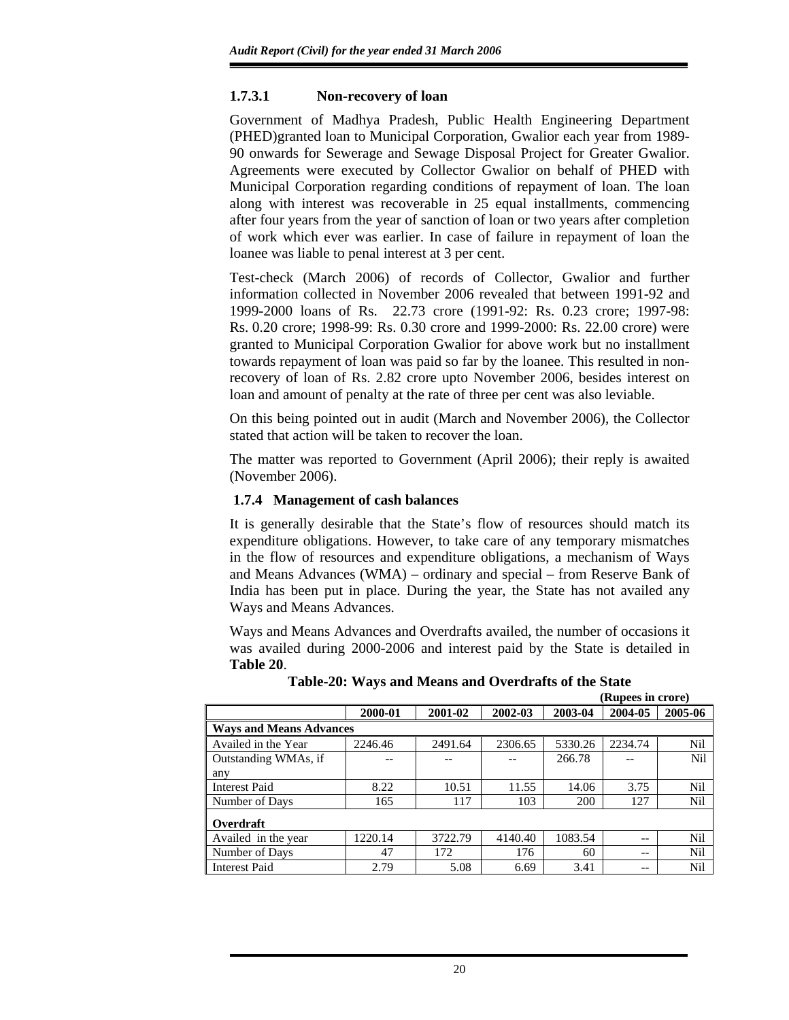## **1.7.3.1 Non-recovery of loan**

Government of Madhya Pradesh, Public Health Engineering Department (PHED)granted loan to Municipal Corporation, Gwalior each year from 1989- 90 onwards for Sewerage and Sewage Disposal Project for Greater Gwalior. Agreements were executed by Collector Gwalior on behalf of PHED with Municipal Corporation regarding conditions of repayment of loan. The loan along with interest was recoverable in 25 equal installments, commencing after four years from the year of sanction of loan or two years after completion of work which ever was earlier. In case of failure in repayment of loan the loanee was liable to penal interest at 3 per cent.

Test-check (March 2006) of records of Collector, Gwalior and further information collected in November 2006 revealed that between 1991-92 and 1999-2000 loans of Rs. 22.73 crore (1991-92: Rs. 0.23 crore; 1997-98: Rs. 0.20 crore; 1998-99: Rs. 0.30 crore and 1999-2000: Rs. 22.00 crore) were granted to Municipal Corporation Gwalior for above work but no installment towards repayment of loan was paid so far by the loanee. This resulted in nonrecovery of loan of Rs. 2.82 crore upto November 2006, besides interest on loan and amount of penalty at the rate of three per cent was also leviable.

On this being pointed out in audit (March and November 2006), the Collector stated that action will be taken to recover the loan.

The matter was reported to Government (April 2006); their reply is awaited (November 2006).

### **1.7.4 Management of cash balances**

It is generally desirable that the State's flow of resources should match its expenditure obligations. However, to take care of any temporary mismatches in the flow of resources and expenditure obligations, a mechanism of Ways and Means Advances (WMA) – ordinary and special – from Reserve Bank of India has been put in place. During the year, the State has not availed any Ways and Means Advances.

Ways and Means Advances and Overdrafts availed, the number of occasions it was availed during 2000-2006 and interest paid by the State is detailed in **Table 20**.

|                                |         |         |         |         | Aupees III CLOTE |            |
|--------------------------------|---------|---------|---------|---------|------------------|------------|
|                                | 2000-01 | 2001-02 | 2002-03 | 2003-04 | 2004-05          | 2005-06    |
| <b>Ways and Means Advances</b> |         |         |         |         |                  |            |
| Availed in the Year            | 2246.46 | 2491.64 | 2306.65 | 5330.26 | 2234.74          | <b>Nil</b> |
| Outstanding WMAs, if           |         |         |         | 266.78  |                  | Nil        |
| any                            |         |         |         |         |                  |            |
| Interest Paid                  | 8.22    | 10.51   | 11.55   | 14.06   | 3.75             | Nil        |
| Number of Days                 | 165     | 117     | 103     | 200     | 127              | Nil        |
| Overdraft                      |         |         |         |         |                  |            |
| Availed in the year            | 1220.14 | 3722.79 | 4140.40 | 1083.54 | $-$              | Nil        |
| Number of Days                 | 47      | 172     | 176     | 60      | $- -$            | Nil        |
| <b>Interest Paid</b>           | 2.79    | 5.08    | 6.69    | 3.41    | $- -$            | <b>Nil</b> |

**Table-20: Ways and Means and Overdrafts of the State (Rupees in crore)**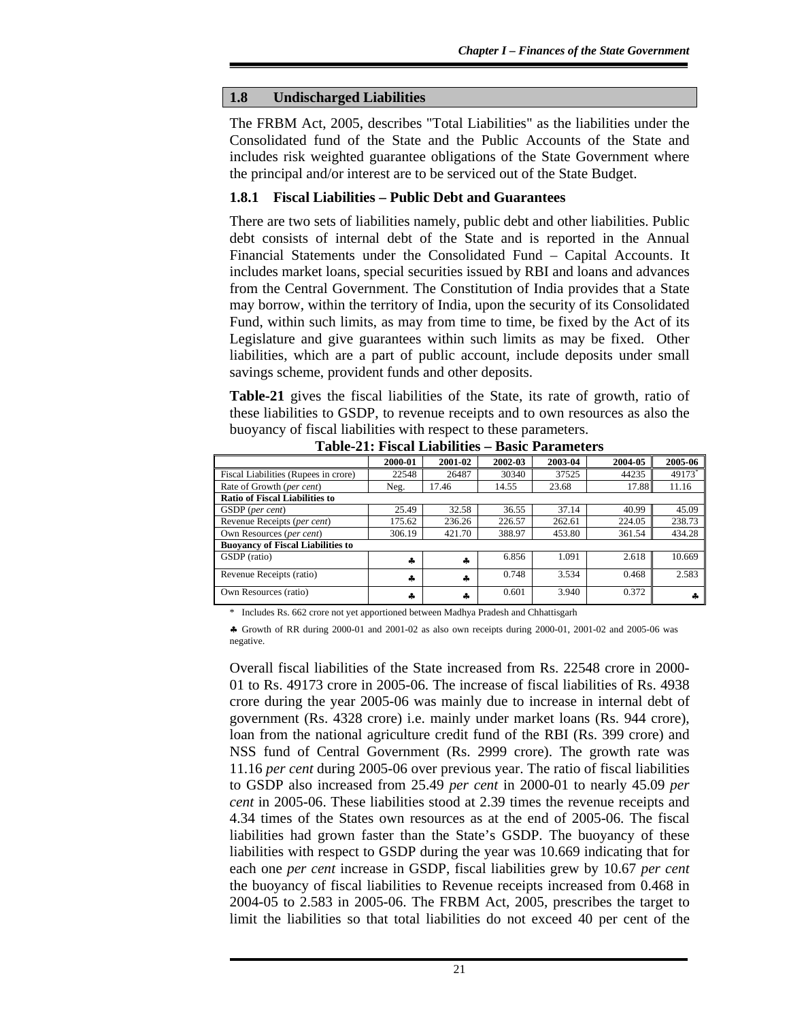### **1.8 Undischarged Liabilities**

The FRBM Act, 2005, describes "Total Liabilities" as the liabilities under the Consolidated fund of the State and the Public Accounts of the State and includes risk weighted guarantee obligations of the State Government where the principal and/or interest are to be serviced out of the State Budget.

# **1.8.1 Fiscal Liabilities – Public Debt and Guarantees**

There are two sets of liabilities namely, public debt and other liabilities. Public debt consists of internal debt of the State and is reported in the Annual Financial Statements under the Consolidated Fund – Capital Accounts. It includes market loans, special securities issued by RBI and loans and advances from the Central Government. The Constitution of India provides that a State may borrow, within the territory of India, upon the security of its Consolidated Fund, within such limits, as may from time to time, be fixed by the Act of its Legislature and give guarantees within such limits as may be fixed. Other liabilities, which are a part of public account, include deposits under small savings scheme, provident funds and other deposits.

**Table-21** gives the fiscal liabilities of the State, its rate of growth, ratio of these liabilities to GSDP, to revenue receipts and to own resources as also the buoyancy of fiscal liabilities with respect to these parameters.

|                                          | 2000-01 | 2001-02 | 2002-03 | 2003-04 | 2004-05 | 2005-06 |  |
|------------------------------------------|---------|---------|---------|---------|---------|---------|--|
| Fiscal Liabilities (Rupees in crore)     | 22548   | 26487   | 30340   | 37525   | 44235   | 49173*  |  |
| Rate of Growth (per cent)                | Neg.    | 17.46   | 14.55   | 23.68   | 17.88   | 11.16   |  |
| <b>Ratio of Fiscal Liabilities to</b>    |         |         |         |         |         |         |  |
| GSDP (per cent)                          | 25.49   | 32.58   | 36.55   | 37.14   | 40.99   | 45.09   |  |
| Revenue Receipts (per cent)              | 175.62  | 236.26  | 226.57  | 262.61  | 224.05  | 238.73  |  |
| Own Resources (per cent)                 | 306.19  | 421.70  | 388.97  | 453.80  | 361.54  | 434.28  |  |
| <b>Buoyancy of Fiscal Liabilities to</b> |         |         |         |         |         |         |  |
| GSDP (ratio)                             | 4       | 4       | 6.856   | 1.091   | 2.618   | 10.669  |  |
| Revenue Receipts (ratio)                 | 4       | 4       | 0.748   | 3.534   | 0.468   | 2.583   |  |
| Own Resources (ratio)                    | 4       | 4       | 0.601   | 3.940   | 0.372   |         |  |

**Table-21: Fiscal Liabilities – Basic Parameters** 

Includes Rs. 662 crore not yet apportioned between Madhya Pradesh and Chhattisgarh

♣ Growth of RR during 2000-01 and 2001-02 as also own receipts during 2000-01, 2001-02 and 2005-06 was negative.

Overall fiscal liabilities of the State increased from Rs. 22548 crore in 2000- 01 to Rs. 49173 crore in 2005-06. The increase of fiscal liabilities of Rs. 4938 crore during the year 2005-06 was mainly due to increase in internal debt of government (Rs. 4328 crore) i.e. mainly under market loans (Rs. 944 crore), loan from the national agriculture credit fund of the RBI (Rs. 399 crore) and NSS fund of Central Government (Rs. 2999 crore). The growth rate was 11.16 *per cent* during 2005-06 over previous year. The ratio of fiscal liabilities to GSDP also increased from 25.49 *per cent* in 2000-01 to nearly 45.09 *per cent* in 2005-06. These liabilities stood at 2.39 times the revenue receipts and 4.34 times of the States own resources as at the end of 2005-06. The fiscal liabilities had grown faster than the State's GSDP. The buoyancy of these liabilities with respect to GSDP during the year was 10.669 indicating that for each one *per cent* increase in GSDP, fiscal liabilities grew by 10.67 *per cent*  the buoyancy of fiscal liabilities to Revenue receipts increased from 0.468 in 2004-05 to 2.583 in 2005-06. The FRBM Act, 2005, prescribes the target to limit the liabilities so that total liabilities do not exceed 40 per cent of the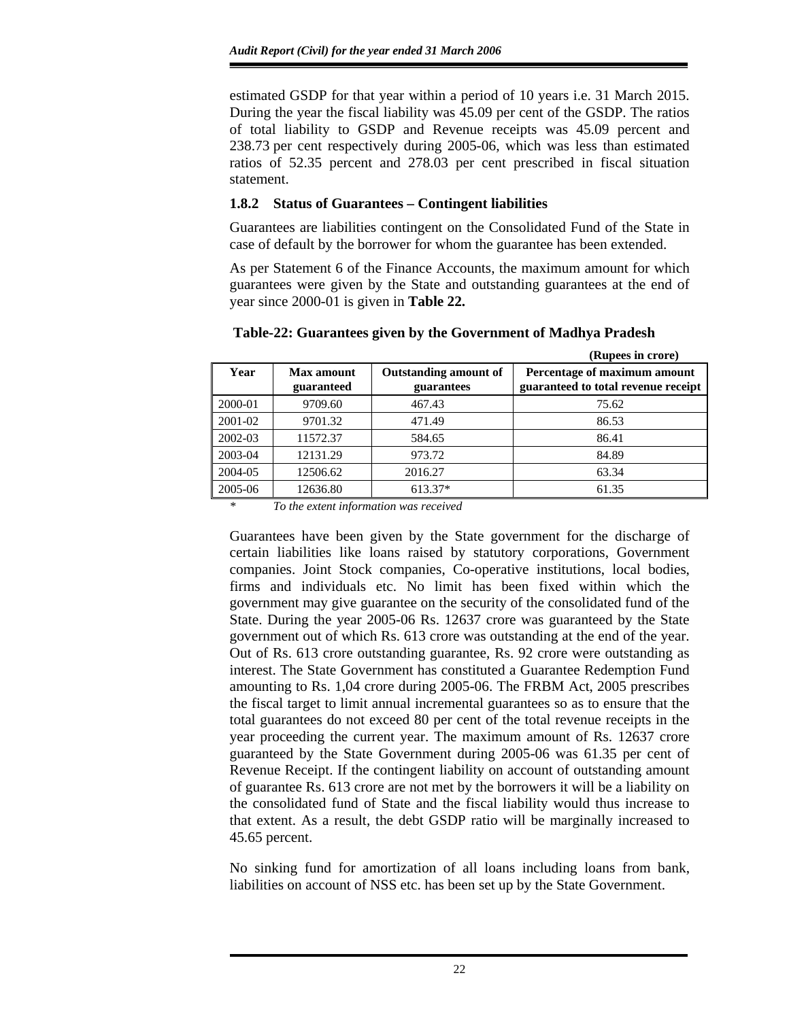estimated GSDP for that year within a period of 10 years i.e. 31 March 2015. During the year the fiscal liability was 45.09 per cent of the GSDP. The ratios of total liability to GSDP and Revenue receipts was 45.09 percent and 238.73 per cent respectively during 2005-06, which was less than estimated ratios of 52.35 percent and 278.03 per cent prescribed in fiscal situation statement.

# **1.8.2 Status of Guarantees – Contingent liabilities**

Guarantees are liabilities contingent on the Consolidated Fund of the State in case of default by the borrower for whom the guarantee has been extended.

As per Statement 6 of the Finance Accounts, the maximum amount for which guarantees were given by the State and outstanding guarantees at the end of year since 2000-01 is given in **Table 22.** 

|         |                          |                                            | (Rupees in crore)                                                   |
|---------|--------------------------|--------------------------------------------|---------------------------------------------------------------------|
| Year    | Max amount<br>guaranteed | <b>Outstanding amount of</b><br>guarantees | Percentage of maximum amount<br>guaranteed to total revenue receipt |
| 2000-01 | 9709.60                  | 467.43                                     | 75.62                                                               |
| 2001-02 | 9701.32                  | 471.49                                     | 86.53                                                               |
| 2002-03 | 11572.37                 | 584.65                                     | 86.41                                                               |
| 2003-04 | 12131.29                 | 973.72                                     | 84.89                                                               |
| 2004-05 | 12506.62                 | 2016.27                                    | 63.34                                                               |
| 2005-06 | 12636.80                 | 613.37*                                    | 61.35                                                               |

# **Table-22: Guarantees given by the Government of Madhya Pradesh**

*\* To the extent information was received* 

Guarantees have been given by the State government for the discharge of certain liabilities like loans raised by statutory corporations, Government companies. Joint Stock companies, Co-operative institutions, local bodies, firms and individuals etc. No limit has been fixed within which the government may give guarantee on the security of the consolidated fund of the State. During the year 2005-06 Rs. 12637 crore was guaranteed by the State government out of which Rs. 613 crore was outstanding at the end of the year. Out of Rs. 613 crore outstanding guarantee, Rs. 92 crore were outstanding as interest. The State Government has constituted a Guarantee Redemption Fund amounting to Rs. 1,04 crore during 2005-06. The FRBM Act, 2005 prescribes the fiscal target to limit annual incremental guarantees so as to ensure that the total guarantees do not exceed 80 per cent of the total revenue receipts in the year proceeding the current year. The maximum amount of Rs. 12637 crore guaranteed by the State Government during 2005-06 was 61.35 per cent of Revenue Receipt. If the contingent liability on account of outstanding amount of guarantee Rs. 613 crore are not met by the borrowers it will be a liability on the consolidated fund of State and the fiscal liability would thus increase to that extent. As a result, the debt GSDP ratio will be marginally increased to 45.65 percent.

No sinking fund for amortization of all loans including loans from bank, liabilities on account of NSS etc. has been set up by the State Government.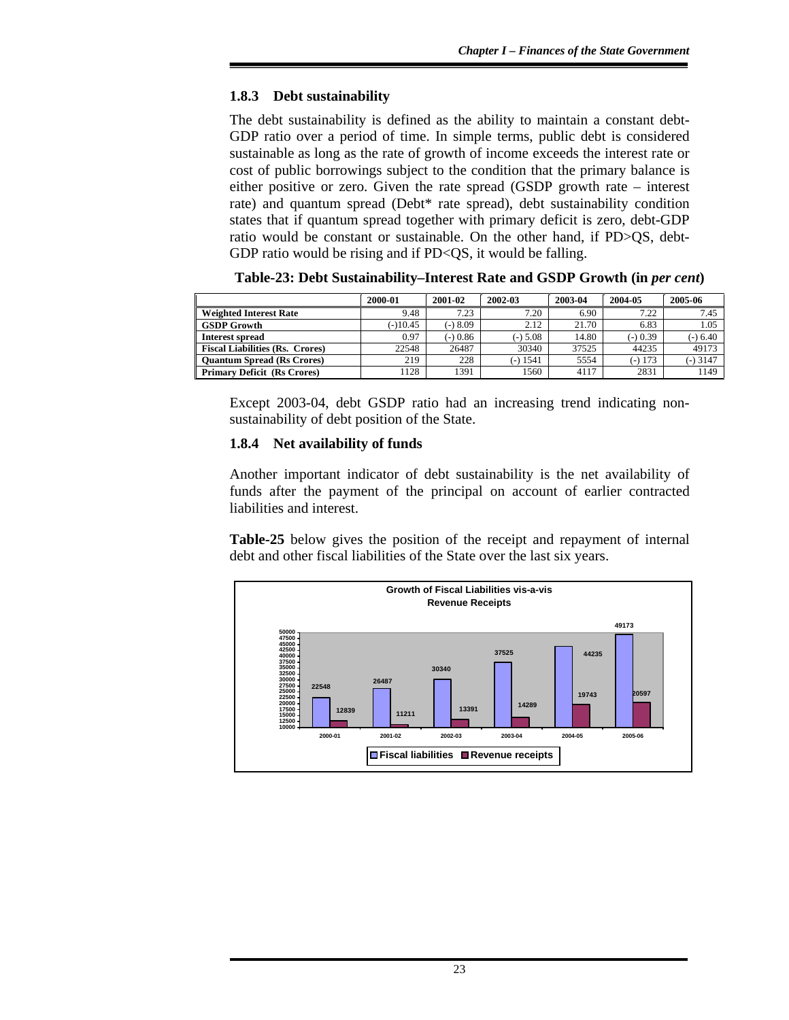## **1.8.3 Debt sustainability**

The debt sustainability is defined as the ability to maintain a constant debt-GDP ratio over a period of time. In simple terms, public debt is considered sustainable as long as the rate of growth of income exceeds the interest rate or cost of public borrowings subject to the condition that the primary balance is either positive or zero. Given the rate spread (GSDP growth rate – interest rate) and quantum spread (Debt\* rate spread), debt sustainability condition states that if quantum spread together with primary deficit is zero, debt-GDP ratio would be constant or sustainable. On the other hand, if PD>QS, debt-GDP ratio would be rising and if PD<QS, it would be falling.

|                                        | 2000-01    | 2001-02  | 2002-03    | 2003-04 | 2004-05   | 2005-06    |
|----------------------------------------|------------|----------|------------|---------|-----------|------------|
| <b>Weighted Interest Rate</b>          | 9.48       | 7.23     | 7.20       | 6.90    | 7.22      | 7.45       |
| <b>GSDP Growth</b>                     | $(-10.45)$ | $-)8.09$ | 2.12       | 21.70   | 6.83      | 1.05       |
| Interest spread                        | 0.97       | $-0.86$  | $(-)$ 5.08 | 14.80   | $-0.39$   | $(-) 6.40$ |
| <b>Fiscal Liabilities (Rs. Crores)</b> | 22548      | 26487    | 30340      | 37525   | 44235     | 49173      |
| <b>Quantum Spread (Rs Crores)</b>      | 219        | 228      | (-) 1541   | 5554    | $(-)$ 173 | $-3147$    |
| <b>Primary Deficit (Rs Crores)</b>     | 128        | 1391     | 1560       | 4117    | 2831      | 1149       |

**Table-23: Debt Sustainability–Interest Rate and GSDP Growth (in** *per cent***)** 

Except 2003-04, debt GSDP ratio had an increasing trend indicating nonsustainability of debt position of the State.

## **1.8.4 Net availability of funds**

Another important indicator of debt sustainability is the net availability of funds after the payment of the principal on account of earlier contracted liabilities and interest.

**Table-25** below gives the position of the receipt and repayment of internal debt and other fiscal liabilities of the State over the last six years.

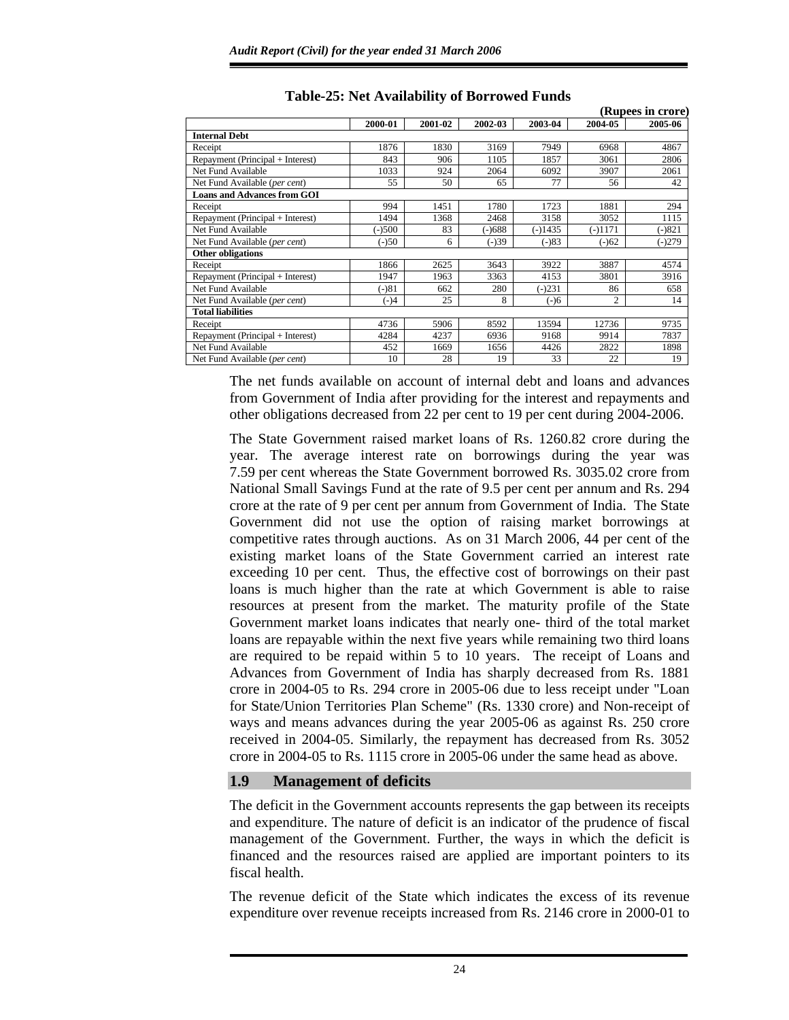|                                    |          |         |         |           |                | (Rupees in crore) |
|------------------------------------|----------|---------|---------|-----------|----------------|-------------------|
|                                    | 2000-01  | 2001-02 | 2002-03 | 2003-04   | 2004-05        | 2005-06           |
| <b>Internal Debt</b>               |          |         |         |           |                |                   |
| Receipt                            | 1876     | 1830    | 3169    | 7949      | 6968           | 4867              |
| Repayment (Principal + Interest)   | 843      | 906     | 1105    | 1857      | 3061           | 2806              |
| Net Fund Available                 | 1033     | 924     | 2064    | 6092      | 3907           | 2061              |
| Net Fund Available (per cent)      | 55       | 50      | 65      | 77        | 56             | 42                |
| <b>Loans and Advances from GOI</b> |          |         |         |           |                |                   |
| Receipt                            | 994      | 1451    | 1780    | 1723      | 1881           | 294               |
| Repayment (Principal + Interest)   | 1494     | 1368    | 2468    | 3158      | 3052           | 1115              |
| Net Fund Available                 | $(-)500$ | 83      | (-)688  | $(-)1435$ | (-)1171        | $(-)821$          |
| Net Fund Available (per cent)      | $(-)50$  | 6       | $(-)39$ | $(-)83$   | $(-)62$        | $(-)279$          |
| Other obligations                  |          |         |         |           |                |                   |
| Receipt                            | 1866     | 2625    | 3643    | 3922      | 3887           | 4574              |
| Repayment (Principal + Interest)   | 1947     | 1963    | 3363    | 4153      | 3801           | 3916              |
| Net Fund Available                 | $(-)81$  | 662     | 280     | $(-)231$  | 86             | 658               |
| Net Fund Available (per cent)      | $(-)4$   | 25      | 8       | $(-)6$    | $\overline{c}$ | 14                |
| <b>Total liabilities</b>           |          |         |         |           |                |                   |
| Receipt                            | 4736     | 5906    | 8592    | 13594     | 12736          | 9735              |
| Repayment (Principal + Interest)   | 4284     | 4237    | 6936    | 9168      | 9914           | 7837              |
| Net Fund Available                 | 452      | 1669    | 1656    | 4426      | 2822           | 1898              |
| Net Fund Available (per cent)      | 10       | 28      | 19      | 33        | 22             | 19                |

# **Table-25: Net Availability of Borrowed Funds**

The net funds available on account of internal debt and loans and advances from Government of India after providing for the interest and repayments and other obligations decreased from 22 per cent to 19 per cent during 2004-2006.

The State Government raised market loans of Rs. 1260.82 crore during the year. The average interest rate on borrowings during the year was 7.59 per cent whereas the State Government borrowed Rs. 3035.02 crore from National Small Savings Fund at the rate of 9.5 per cent per annum and Rs. 294 crore at the rate of 9 per cent per annum from Government of India. The State Government did not use the option of raising market borrowings at competitive rates through auctions.As on 31 March 2006, 44 per cent of the existing market loans of the State Government carried an interest rate exceeding 10 per cent. Thus, the effective cost of borrowings on their past loans is much higher than the rate at which Government is able to raise resources at present from the market. The maturity profile of the State Government market loans indicates that nearly one- third of the total market loans are repayable within the next five years while remaining two third loans are required to be repaid within 5 to 10 years. The receipt of Loans and Advances from Government of India has sharply decreased from Rs. 1881 crore in 2004-05 to Rs. 294 crore in 2005-06 due to less receipt under "Loan for State/Union Territories Plan Scheme" (Rs. 1330 crore) and Non-receipt of ways and means advances during the year 2005-06 as against Rs. 250 crore received in 2004-05. Similarly, the repayment has decreased from Rs. 3052 crore in 2004-05 to Rs. 1115 crore in 2005-06 under the same head as above.

## **1.9 Management of deficits**

The deficit in the Government accounts represents the gap between its receipts and expenditure. The nature of deficit is an indicator of the prudence of fiscal management of the Government. Further, the ways in which the deficit is financed and the resources raised are applied are important pointers to its fiscal health.

The revenue deficit of the State which indicates the excess of its revenue expenditure over revenue receipts increased from Rs. 2146 crore in 2000-01 to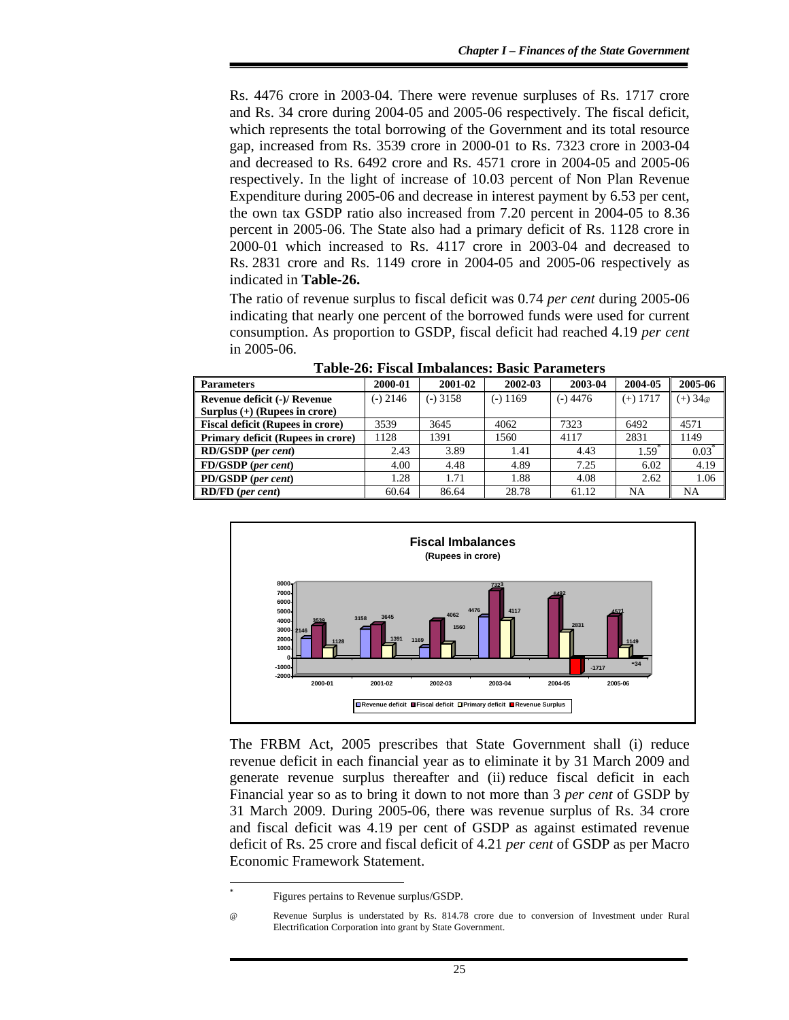Rs. 4476 crore in 2003-04. There were revenue surpluses of Rs. 1717 crore and Rs. 34 crore during 2004-05 and 2005-06 respectively. The fiscal deficit, which represents the total borrowing of the Government and its total resource gap, increased from Rs. 3539 crore in 2000-01 to Rs. 7323 crore in 2003-04 and decreased to Rs. 6492 crore and Rs. 4571 crore in 2004-05 and 2005-06 respectively. In the light of increase of 10.03 percent of Non Plan Revenue Expenditure during 2005-06 and decrease in interest payment by 6.53 per cent, the own tax GSDP ratio also increased from 7.20 percent in 2004-05 to 8.36 percent in 2005-06. The State also had a primary deficit of Rs. 1128 crore in 2000-01 which increased to Rs. 4117 crore in 2003-04 and decreased to Rs. 2831 crore and Rs. 1149 crore in 2004-05 and 2005-06 respectively as indicated in **Table-26.**

The ratio of revenue surplus to fiscal deficit was 0.74 *per cent* during 2005-06 indicating that nearly one percent of the borrowed funds were used for current consumption. As proportion to GSDP, fiscal deficit had reached 4.19 *per cent* in 2005-06.

| Tuble 20. Them modulated: Dusie I al amelic |            |          |            |            |            |                  |
|---------------------------------------------|------------|----------|------------|------------|------------|------------------|
| <b>Parameters</b>                           | 2000-01    | 2001-02  | 2002-03    | 2003-04    | 2004-05    | 2005-06          |
| Revenue deficit (-)/ Revenue                | $(-)$ 2146 | (-) 3158 | $(-)$ 1169 | $(-)$ 4476 | $(+)$ 1717 | $(+) 34@$        |
| Surplus $(+)$ (Rupees in crore)             |            |          |            |            |            |                  |
| <b>Fiscal deficit (Rupees in crore)</b>     | 3539       | 3645     | 4062       | 7323       | 6492       | 4571             |
| Primary deficit (Rupees in crore)           | 1128       | 1391     | 1560       | 4117       | 2831       | 1149             |
| <b>RD/GSDP</b> (per cent)                   | 2.43       | 3.89     | 1.41       | 4.43       | 1.59       | $0.03^{\degree}$ |
| FD/GSDP (per cent)                          | 4.00       | 4.48     | 4.89       | 7.25       | 6.02       | 4.19             |
| PD/GSDP (per cent)                          | 1.28       | 1.71     | 1.88       | 4.08       | 2.62       | 1.06             |
| <b>RD/FD</b> (per cent)                     | 60.64      | 86.64    | 28.78      | 61.12      | NA         | NA               |

**Table-26: Fiscal Imbalances: Basic Parameters** 



The FRBM Act, 2005 prescribes that State Government shall (i) reduce revenue deficit in each financial year as to eliminate it by 31 March 2009 and generate revenue surplus thereafter and (ii) reduce fiscal deficit in each Financial year so as to bring it down to not more than 3 *per cent* of GSDP by 31 March 2009. During 2005-06, there was revenue surplus of Rs. 34 crore and fiscal deficit was 4.19 per cent of GSDP as against estimated revenue deficit of Rs. 25 crore and fiscal deficit of 4.21 *per cent* of GSDP as per Macro Economic Framework Statement.

l \*

Figures pertains to Revenue surplus/GSDP.

Revenue Surplus is understated by Rs. 814.78 crore due to conversion of Investment under Rural Electrification Corporation into grant by State Government.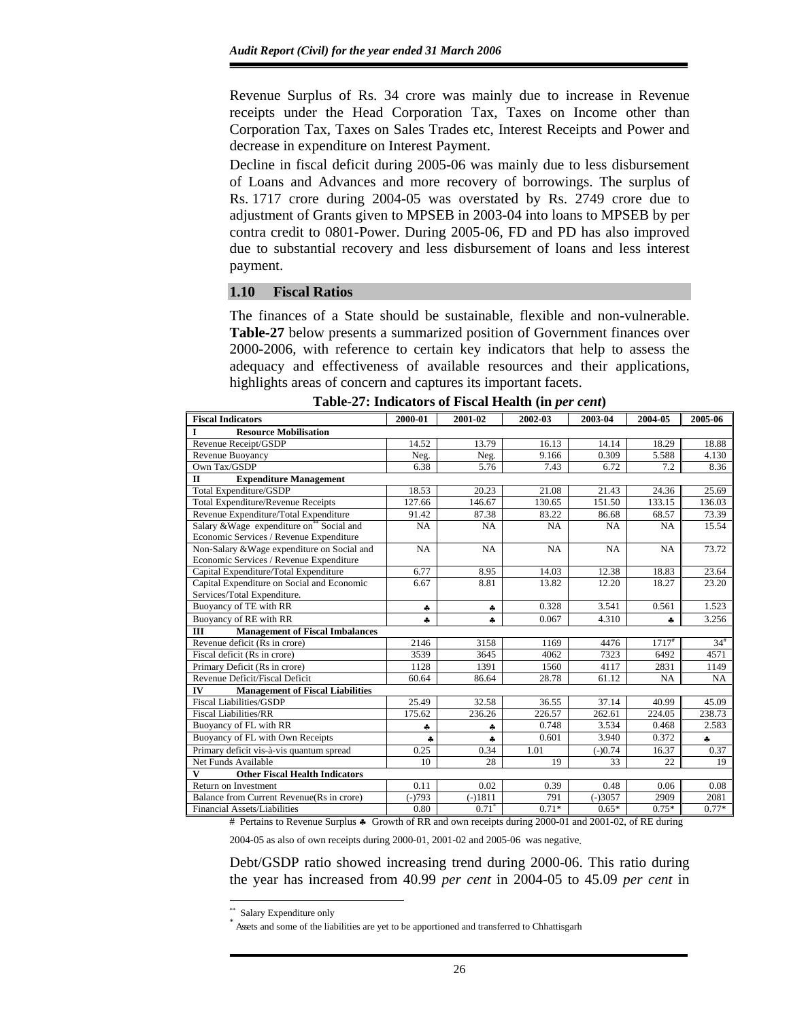Revenue Surplus of Rs. 34 crore was mainly due to increase in Revenue receipts under the Head Corporation Tax, Taxes on Income other than Corporation Tax, Taxes on Sales Trades etc, Interest Receipts and Power and decrease in expenditure on Interest Payment.

Decline in fiscal deficit during 2005-06 was mainly due to less disbursement of Loans and Advances and more recovery of borrowings. The surplus of Rs. 1717 crore during 2004-05 was overstated by Rs. 2749 crore due to adjustment of Grants given to MPSEB in 2003-04 into loans to MPSEB by per contra credit to 0801-Power. During 2005-06, FD and PD has also improved due to substantial recovery and less disbursement of loans and less interest payment.

#### **1.10 Fiscal Ratios**

The finances of a State should be sustainable, flexible and non-vulnerable. **Table-27** below presents a summarized position of Government finances over 2000-2006, with reference to certain key indicators that help to assess the adequacy and effectiveness of available resources and their applications, highlights areas of concern and captures its important facets.

| <b>Fiscal Indicators</b>                              | 2000-01   | 2001-02   | 2002-03 | 2003-04   | 2004-05             | 2005-06  |
|-------------------------------------------------------|-----------|-----------|---------|-----------|---------------------|----------|
| I<br><b>Resource Mobilisation</b>                     |           |           |         |           |                     |          |
| Revenue Receipt/GSDP                                  | 14.52     | 13.79     | 16.13   | 14.14     | 18.29               | 18.88    |
| Revenue Buoyancy                                      | Neg.      | Neg.      | 9.166   | 0.309     | 5.588               | 4.130    |
| Own Tax/GSDP                                          | 6.38      | 5.76      | 7.43    | 6.72      | 7.2                 | 8.36     |
| $\Pi$<br><b>Expenditure Management</b>                |           |           |         |           |                     |          |
| <b>Total Expenditure/GSDP</b>                         | 18.53     | 20.23     | 21.08   | 21.43     | 24.36               | 25.69    |
| <b>Total Expenditure/Revenue Receipts</b>             | 127.66    | 146.67    | 130.65  | 151.50    | 133.15              | 136.03   |
| Revenue Expenditure/Total Expenditure                 | 91.42     | 87.38     | 83.22   | 86.68     | 68.57               | 73.39    |
| Salary & Wage expenditure on <sup>**</sup> Social and | <b>NA</b> | <b>NA</b> | NA      | NA        | NA                  | 15.54    |
| Economic Services / Revenue Expenditure               |           |           |         |           |                     |          |
| Non-Salary & Wage expenditure on Social and           | NA        | NA        | NA      | NA        | NA                  | 73.72    |
| Economic Services / Revenue Expenditure               |           |           |         |           |                     |          |
| Capital Expenditure/Total Expenditure                 | 6.77      | 8.95      | 14.03   | 12.38     | 18.83               | 23.64    |
| Capital Expenditure on Social and Economic            | 6.67      | 8.81      | 13.82   | 12.20     | 18.27               | 23.20    |
| Services/Total Expenditure.                           |           |           |         |           |                     |          |
| Buoyancy of TE with RR                                | 4         | 4         | 0.328   | 3.541     | 0.561               | 1.523    |
| Buoyancy of RE with RR                                | ÷         | ÷         | 0.067   | 4.310     | 4                   | 3.256    |
| Ш<br><b>Management of Fiscal Imbalances</b>           |           |           |         |           |                     |          |
| Revenue deficit (Rs in crore)                         | 2146      | 3158      | 1169    | 4476      | $1717$ <sup>#</sup> | $34^{#}$ |
| Fiscal deficit (Rs in crore)                          | 3539      | 3645      | 4062    | 7323      | 6492                | 4571     |
| Primary Deficit (Rs in crore)                         | 1128      | 1391      | 1560    | 4117      | 2831                | 1149     |
| Revenue Deficit/Fiscal Deficit                        | 60.64     | 86.64     | 28.78   | 61.12     | NA                  | NA       |
| IV<br><b>Management of Fiscal Liabilities</b>         |           |           |         |           |                     |          |
| <b>Fiscal Liabilities/GSDP</b>                        | 25.49     | 32.58     | 36.55   | 37.14     | 40.99               | 45.09    |
| <b>Fiscal Liabilities/RR</b>                          | 175.62    | 236.26    | 226.57  | 262.61    | 224.05              | 238.73   |
| Buoyancy of FL with RR                                | å,        | ÷         | 0.748   | 3.534     | 0.468               | 2.583    |
| Buoyancy of FL with Own Receipts                      | ÷         | ÷         | 0.601   | 3.940     | 0.372               | ቆ        |
| Primary deficit vis-à-vis quantum spread              | 0.25      | 0.34      | 1.01    | $(-)0.74$ | 16.37               | 0.37     |
| Net Funds Available                                   | 10        | 28        | 19      | 33        | 22                  | 19       |
| V<br><b>Other Fiscal Health Indicators</b>            |           |           |         |           |                     |          |
| Return on Investment                                  | 0.11      | 0.02      | 0.39    | 0.48      | 0.06                | 0.08     |
| Balance from Current Revenue(Rs in crore)             | $(-)793$  | $(-)1811$ | 791     | $(-)3057$ | 2909                | 2081     |
| Financial Assets/Liabilities                          | 0.80      | $0.71^*$  | $0.71*$ | $0.65*$   | $0.75*$             | $0.77*$  |

| Table-27: Indicators of Fiscal Health (in <i>per cent</i> ) |  |  |
|-------------------------------------------------------------|--|--|
|-------------------------------------------------------------|--|--|

# Pertains to Revenue Surplus ♣ Growth of RR and own receipts during 2000-01 and 2001-02, of RE during

2004-05 as also of own receipts during 2000-01, 2001-02 and 2005-06 was negative.

Debt/GSDP ratio showed increasing trend during 2000-06. This ratio during the year has increased from 40.99 *per cent* in 2004-05 to 45.09 *per cent* in

<sup>\*\*</sup> Salary Expenditure only

<sup>\*</sup> Assets and some of the liabilities are yet to be apportioned and transferred to Chhattisgarh